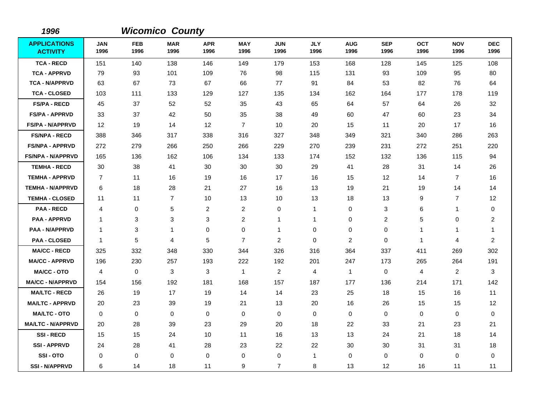| 1996                                   |                    |                    | <b>Wicomico County</b> |                    |                    |                    |                    |                    |                    |                    |                    |                         |
|----------------------------------------|--------------------|--------------------|------------------------|--------------------|--------------------|--------------------|--------------------|--------------------|--------------------|--------------------|--------------------|-------------------------|
| <b>APPLICATIONS</b><br><b>ACTIVITY</b> | <b>JAN</b><br>1996 | <b>FEB</b><br>1996 | <b>MAR</b><br>1996     | <b>APR</b><br>1996 | <b>MAY</b><br>1996 | <b>JUN</b><br>1996 | <b>JLY</b><br>1996 | <b>AUG</b><br>1996 | <b>SEP</b><br>1996 | <b>OCT</b><br>1996 | <b>NOV</b><br>1996 | <b>DEC</b><br>1996      |
| <b>TCA - RECD</b>                      | 151                | 140                | 138                    | 146                | 149                | 179                | 153                | 168                | 128                | 145                | 125                | 108                     |
| <b>TCA - APPRVD</b>                    | 79                 | 93                 | 101                    | 109                | 76                 | 98                 | 115                | 131                | 93                 | 109                | 95                 | 80                      |
| <b>TCA - N/APPRVD</b>                  | 63                 | 67                 | 73                     | 67                 | 66                 | 77                 | 91                 | 84                 | 53                 | 82                 | 76                 | 64                      |
| <b>TCA - CLOSED</b>                    | 103                | 111                | 133                    | 129                | 127                | 135                | 134                | 162                | 164                | 177                | 178                | 119                     |
| <b>FS/PA - RECD</b>                    | 45                 | 37                 | 52                     | 52                 | 35                 | 43                 | 65                 | 64                 | 57                 | 64                 | 26                 | 32                      |
| <b>FS/PA - APPRVD</b>                  | 33                 | 37                 | 42                     | 50                 | 35                 | 38                 | 49                 | 60                 | 47                 | 60                 | 23                 | 34                      |
| FS/PA - N/APPRVD                       | $12 \,$            | 19                 | 14                     | 12                 | $\overline{7}$     | 10                 | 20                 | 15                 | 11                 | 20                 | 17                 | 16                      |
| <b>FS/NPA - RECD</b>                   | 388                | 346                | 317                    | 338                | 316                | 327                | 348                | 349                | 321                | 340                | 286                | 263                     |
| <b>FS/NPA - APPRVD</b>                 | 272                | 279                | 266                    | 250                | 266                | 229                | 270                | 239                | 231                | 272                | 251                | 220                     |
| <b>FS/NPA - N/APPRVD</b>               | 165                | 136                | 162                    | 106                | 134                | 133                | 174                | 152                | 132                | 136                | 115                | 94                      |
| <b>TEMHA - RECD</b>                    | 30                 | 38                 | 41                     | 30                 | 30                 | 30                 | 29                 | 41                 | 28                 | 31                 | 14                 | 26                      |
| <b>TEMHA - APPRVD</b>                  | $\overline{7}$     | 11                 | 16                     | 19                 | 16                 | 17                 | 16                 | 15                 | 12                 | 14                 | $\overline{7}$     | 16                      |
| <b>TEMHA - N/APPRVD</b>                | 6                  | 18                 | 28                     | 21                 | 27                 | 16                 | 13                 | 19                 | 21                 | 19                 | 14                 | 14                      |
| <b>TEMHA - CLOSED</b>                  | 11                 | 11                 | $\overline{7}$         | 10                 | 13                 | 10                 | 13                 | 18                 | 13                 | 9                  | $\overline{7}$     | 12                      |
| <b>PAA - RECD</b>                      | 4                  | $\mathbf 0$        | $\sqrt{5}$             | $\overline{c}$     | $\overline{2}$     | 0                  | 1                  | 0                  | 3                  | 6                  | -1                 | 0                       |
| <b>PAA - APPRVD</b>                    | $\mathbf 1$        | 3                  | $\mathbf 3$            | 3                  | $\sqrt{2}$         | 1                  | -1                 | 0                  | $\overline{2}$     | 5                  | 0                  | $\overline{c}$          |
| <b>PAA - N/APPRVD</b>                  | $\mathbf 1$        | 3                  | $\mathbf 1$            | $\pmb{0}$          | $\mathbf 0$        | 1                  | $\mathbf 0$        | 0                  | $\mathbf 0$        | 1                  | 1                  | -1                      |
| <b>PAA - CLOSED</b>                    | $\mathbf{1}$       | 5                  | 4                      | 5                  | $\overline{7}$     | $\overline{c}$     | 0                  | $\boldsymbol{2}$   | $\pmb{0}$          | $\mathbf{1}$       | 4                  | $\overline{\mathbf{c}}$ |
| <b>MA/CC - RECD</b>                    | 325                | 332                | 348                    | 330                | 344                | 326                | 316                | 364                | 337                | 411                | 269                | 302                     |
| <b>MA/CC - APPRVD</b>                  | 196                | 230                | 257                    | 193                | 222                | 192                | 201                | 247                | 173                | 265                | 264                | 191                     |
| <b>MA/CC - OTO</b>                     | $\overline{4}$     | $\mathbf 0$        | 3                      | 3                  | $\mathbf{1}$       | $\overline{c}$     | $\overline{4}$     | $\mathbf{1}$       | $\mathbf 0$        | $\overline{4}$     | $\boldsymbol{2}$   | 3                       |
| <b>MA/CC - N/APPRVD</b>                | 154                | 156                | 192                    | 181                | 168                | 157                | 187                | 177                | 136                | 214                | 171                | 142                     |
| <b>MA/LTC - RECD</b>                   | 26                 | 19                 | 17                     | 19                 | 14                 | 14                 | 23                 | 25                 | 18                 | 15                 | 16                 | 11                      |
| <b>MA/LTC - APPRVD</b>                 | 20                 | 23                 | 39                     | 19                 | 21                 | 13                 | 20                 | 16                 | 26                 | 15                 | 15                 | 12                      |
| <b>MA/LTC - OTO</b>                    | $\mathbf 0$        | 0                  | $\mathbf 0$            | $\mathbf 0$        | $\mathbf 0$        | $\mathbf 0$        | $\mathbf 0$        | 0                  | $\pmb{0}$          | 0                  | $\pmb{0}$          | 0                       |
| <b>MA/LTC - N/APPRVD</b>               | 20                 | 28                 | 39                     | 23                 | 29                 | 20                 | 18                 | 22                 | 33                 | 21                 | 23                 | 21                      |
| <b>SSI-RECD</b>                        | 15                 | 15                 | 24                     | 10                 | 11                 | 16                 | 13                 | 13                 | 24                 | 21                 | 18                 | 14                      |
| <b>SSI-APPRVD</b>                      | 24                 | 28                 | 41                     | 28                 | 23                 | 22                 | 22                 | 30                 | 30                 | 31                 | 31                 | 18                      |
| SSI-OTO                                | 0                  | $\mathbf 0$        | $\mathbf 0$            | 0                  | $\pmb{0}$          | $\mathbf 0$        | 1                  | $\,0\,$            | $\mathbf 0$        | 0                  | $\pmb{0}$          | 0                       |
| <b>SSI - N/APPRVD</b>                  | 6                  | 14                 | 18                     | 11                 | 9                  | $\overline{7}$     | 8                  | 13                 | 12                 | 16                 | 11                 | 11                      |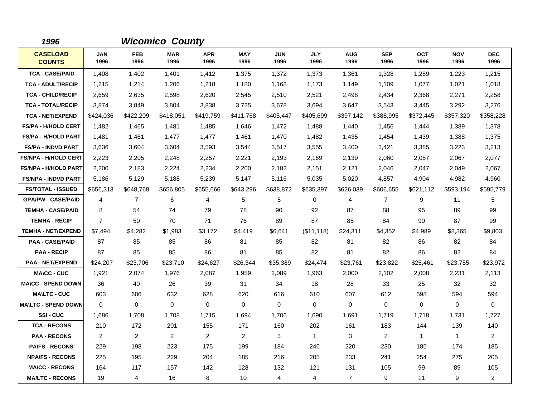| 1996                             |                |                    | <b>Wicomico County</b> |                    |                    |                    |                    |                    |                    |                    |                    |                    |
|----------------------------------|----------------|--------------------|------------------------|--------------------|--------------------|--------------------|--------------------|--------------------|--------------------|--------------------|--------------------|--------------------|
| <b>CASELOAD</b><br><b>COUNTS</b> | JAN<br>1996    | <b>FEB</b><br>1996 | <b>MAR</b><br>1996     | <b>APR</b><br>1996 | <b>MAY</b><br>1996 | <b>JUN</b><br>1996 | <b>JLY</b><br>1996 | <b>AUG</b><br>1996 | <b>SEP</b><br>1996 | <b>OCT</b><br>1996 | <b>NOV</b><br>1996 | <b>DEC</b><br>1996 |
| <b>TCA - CASE/PAID</b>           | 1,408          | 1,402              | 1.401                  | 1,412              | 1,375              | 1.372              | 1,373              | 1,361              | 1,328              | 1,289              | 1,223              | 1,215              |
| <b>TCA - ADULT/RECIP</b>         | 1,215          | 1.214              | 1,206                  | 1,218              | 1,180              | 1.168              | 1.173              | 1,149              | 1.109              | 1,077              | 1,021              | 1,018              |
| <b>TCA - CHILD/RECIP</b>         | 2,659          | 2,635              | 2,598                  | 2,620              | 2,545              | 2,510              | 2,521              | 2,498              | 2,434              | 2,368              | 2,271              | 2,258              |
| <b>TCA - TOTAL/RECIP</b>         | 3,874          | 3,849              | 3,804                  | 3,838              | 3,725              | 3,678              | 3,694              | 3,647              | 3,543              | 3,445              | 3,292              | 3,276              |
| <b>TCA - NET/EXPEND</b>          | \$424,036      | \$422,209          | \$418,051              | \$419,759          | \$411,768          | \$405,447          | \$405,699          | \$397,142          | \$388,995          | \$372,445          | \$357,320          | \$358,228          |
| <b>FS/PA - H/HOLD CERT</b>       | 1,482          | 1,465              | 1,481                  | 1,485              | 1,646              | 1,472              | 1,488              | 1,440              | 1,456              | 1,444              | 1,389              | 1,378              |
| <b>FS/PA - H/HOLD PART</b>       | 1,481          | 1,461              | 1,477                  | 1,477              | 1,461              | 1,470              | 1,482              | 1,435              | 1,454              | 1,439              | 1,388              | 1,375              |
| <b>FS/PA - INDVD PART</b>        | 3,636          | 3,604              | 3,604                  | 3,593              | 3,544              | 3,517              | 3,555              | 3,400              | 3,421              | 3,385              | 3,223              | 3,213              |
| <b>FS/NPA - H/HOLD CERT</b>      | 2,223          | 2,205              | 2,248                  | 2,257              | 2,221              | 2,193              | 2,169              | 2,139              | 2,060              | 2,057              | 2,067              | 2,077              |
| <b>FS/NPA - H/HOLD PART</b>      | 2,200          | 2,183              | 2,224                  | 2,234              | 2,200              | 2,182              | 2,151              | 2,121              | 2,046              | 2,047              | 2,049              | 2,067              |
| <b>FS/NPA - INDVD PART</b>       | 5,186          | 5,129              | 5,188                  | 5,239              | 5,147              | 5,116              | 5,035              | 5,020              | 4,857              | 4,904              | 4,982              | 4,960              |
| <b>FS/TOTAL - ISSUED</b>         | \$656,313      | \$648,768          | \$656,805              | \$655,666          | \$643,296          | \$638,872          | \$635,397          | \$626,039          | \$606,655          | \$621,112          | \$593,194          | \$595,779          |
| <b>GPA/PW - CASE/PAID</b>        | 4              | $\overline{7}$     | 6                      | 4                  | 5                  | 5                  | 0                  | 4                  | $\overline{7}$     | 9                  | 11                 | 5                  |
| <b>TEMHA - CASE/PAID</b>         | 8              | 54                 | 74                     | 79                 | 78                 | 90                 | 92                 | 87                 | 88                 | 95                 | 89                 | 99                 |
| <b>TEMHA - RECIP</b>             | $\overline{7}$ | 50                 | 70                     | 71                 | 76                 | 89                 | 87                 | 85                 | 84                 | 90                 | 87                 | 99                 |
| <b>TEMHA - NET/EXPEND</b>        | \$7,494        | \$4,282            | \$1,983                | \$3,172            | \$4,419            | \$6,641            | (\$11,118)         | \$24,311           | \$4,352            | \$4,989            | \$8,365            | \$9,803            |
| <b>PAA - CASE/PAID</b>           | 87             | 85                 | 85                     | 86                 | 81                 | 85                 | 82                 | 81                 | 82                 | 86                 | 82                 | 84                 |
| <b>PAA - RECIP</b>               | 87             | 85                 | 85                     | 86                 | 81                 | 85                 | 82                 | 81                 | 82                 | 86                 | 82                 | 84                 |
| <b>PAA - NET/EXPEND</b>          | \$24,207       | \$23,706           | \$23,710               | \$24,627           | \$26,344           | \$35,389           | \$24,474           | \$23,761           | \$23,822           | \$25,461           | \$23,755           | \$23,972           |
| <b>MA\CC - CUC</b>               | 1,921          | 2,074              | 1,976                  | 2,087              | 1,959              | 2,089              | 1,963              | 2,000              | 2,102              | 2,008              | 2,231              | 2,113              |
| <b>MA\CC - SPEND DOWN</b>        | 36             | 40                 | 26                     | 39                 | 31                 | 34                 | 18                 | 28                 | 33                 | 25                 | 32                 | 32                 |
| <b>MAILTC - CUC</b>              | 603            | 606                | 632                    | 628                | 620                | 616                | 610                | 607                | 612                | 598                | 594                | 594                |
| <b>MA\LTC - SPEND DOWN</b>       | $\mathbf 0$    | $\mathbf 0$        | $\mathbf 0$            | $\mathbf 0$        | $\mathbf 0$        | $\mathbf 0$        | $\mathbf 0$        | $\mathbf 0$        | $\mathbf 0$        | 0                  | 0                  | $\mathbf 0$        |
| SSI-CUC                          | 1,686          | 1,708              | 1,708                  | 1,715              | 1,694              | 1,706              | 1,690              | 1,691              | 1,719              | 1,718              | 1,731              | 1,727              |
| <b>TCA - RECONS</b>              | 210            | 172                | 201                    | 155                | 171                | 160                | 202                | 161                | 183                | 144                | 139                | 140                |
| <b>PAA - RECONS</b>              | 2              | 2                  | 2                      | 2                  | $\overline{c}$     | 3                  | $\mathbf{1}$       | 3                  | 2                  | $\mathbf{1}$       | $\mathbf{1}$       | $\overline{2}$     |
| <b>PA/FS - RECONS</b>            | 229            | 198                | 223                    | 175                | 199                | 184                | 246                | 220                | 230                | 185                | 174                | 185                |
| <b>NPA/FS - RECONS</b>           | 225            | 195                | 229                    | 204                | 185                | 216                | 205                | 233                | 241                | 254                | 275                | 205                |
| <b>MA/CC - RECONS</b>            | 164            | 117                | 157                    | 142                | 128                | 132                | 121                | 131                | 105                | 99                 | 89                 | 105                |
| <b>MA/LTC - RECONS</b>           | 19             | 4                  | 16                     | 8                  | 10                 | 4                  | 4                  | $\overline{7}$     | 9                  | 11                 | 9                  | $\overline{a}$     |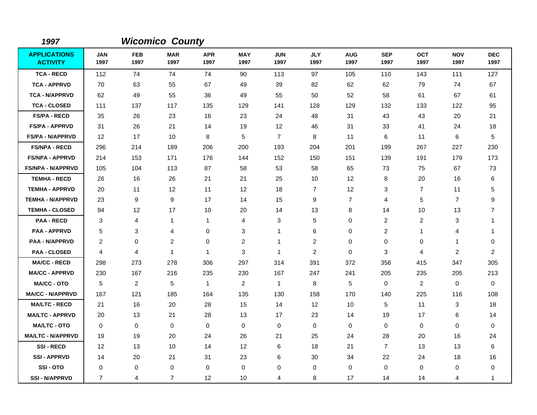| 1997                                   |                    |                    | <b>Wicomico County</b> |                    |                    |                    |                    |                    |                    |                    |                    |                    |
|----------------------------------------|--------------------|--------------------|------------------------|--------------------|--------------------|--------------------|--------------------|--------------------|--------------------|--------------------|--------------------|--------------------|
| <b>APPLICATIONS</b><br><b>ACTIVITY</b> | <b>JAN</b><br>1997 | <b>FEB</b><br>1997 | <b>MAR</b><br>1997     | <b>APR</b><br>1997 | <b>MAY</b><br>1997 | <b>JUN</b><br>1997 | <b>JLY</b><br>1997 | <b>AUG</b><br>1997 | <b>SEP</b><br>1997 | <b>OCT</b><br>1997 | <b>NOV</b><br>1997 | <b>DEC</b><br>1997 |
| <b>TCA - RECD</b>                      | 112                | 74                 | 74                     | 74                 | 90                 | 113                | 97                 | 105                | 110                | 143                | 111                | 127                |
| <b>TCA - APPRVD</b>                    | 70                 | 63                 | 55                     | 67                 | 49                 | 39                 | 82                 | 62                 | 62                 | 79                 | 74                 | 67                 |
| <b>TCA - N/APPRVD</b>                  | 62                 | 49                 | 55                     | 36                 | 49                 | 55                 | 50                 | 52                 | 58                 | 61                 | 67                 | 61                 |
| <b>TCA - CLOSED</b>                    | 111                | 137                | 117                    | 135                | 129                | 141                | 128                | 129                | 132                | 133                | 122                | 95                 |
| <b>FS/PA - RECD</b>                    | 35                 | 26                 | 23                     | 16                 | 23                 | 24                 | 48                 | 31                 | 43                 | 43                 | 20                 | 21                 |
| <b>FS/PA - APPRVD</b>                  | 31                 | 26                 | 21                     | 14                 | 19                 | 12                 | 46                 | 31                 | 33                 | 41                 | 24                 | 18                 |
| <b>FS/PA - N/APPRVD</b>                | $12 \overline{ }$  | 17                 | 10                     | 8                  | $\mathbf 5$        | $\overline{7}$     | 8                  | 11                 | 6                  | 11                 | 6                  | 5                  |
| <b>FS/NPA - RECD</b>                   | 296                | 214                | 189                    | 206                | 200                | 193                | 204                | 201                | 199                | 267                | 227                | 230                |
| <b>FS/NPA - APPRVD</b>                 | 214                | 153                | 171                    | 176                | 144                | 152                | 150                | 151                | 139                | 191                | 179                | 173                |
| <b>FS/NPA - N/APPRVD</b>               | 105                | 104                | 113                    | 87                 | 58                 | 53                 | 58                 | 65                 | 73                 | 75                 | 67                 | 73                 |
| <b>TEMHA - RECD</b>                    | 26                 | 16                 | 26                     | 21                 | 21                 | 25                 | 10                 | 12 <sup>2</sup>    | 8                  | 20                 | 16                 | 6                  |
| <b>TEMHA - APPRVD</b>                  | 20                 | 11                 | 12                     | 11                 | 12                 | 18                 | $\overline{7}$     | 12 <sup>2</sup>    | 3                  | $\overline{7}$     | 11                 | 5                  |
| <b>TEMHA - N/APPRVD</b>                | 23                 | 9                  | $\boldsymbol{9}$       | 17                 | 14                 | 15                 | 9                  | $\overline{7}$     | 4                  | 5                  | $\overline{7}$     | 9                  |
| <b>TEMHA - CLOSED</b>                  | 94                 | 12                 | 17                     | 10                 | 20                 | 14                 | 13                 | 8                  | 14                 | 10                 | 13                 | $\overline{7}$     |
| <b>PAA - RECD</b>                      | 3                  | $\overline{4}$     | $\mathbf 1$            | 1                  | 4                  | 3                  | 5                  | $\mathbf 0$        | $\overline{2}$     | $\overline{c}$     | 3                  | 1                  |
| <b>PAA - APPRVD</b>                    | 5                  | 3                  | 4                      | 0                  | 3                  | 1                  | 6                  | $\mathbf 0$        | $\overline{2}$     | 1                  | 4                  | 1                  |
| PAA - N/APPRVD                         | 2                  | $\mathbf 0$        | $\overline{c}$         | 0                  | $\overline{c}$     | 1                  | 2                  | $\pmb{0}$          | 0                  | 0                  | 1                  | 0                  |
| <b>PAA - CLOSED</b>                    | 4                  | $\overline{4}$     | 1                      | $\mathbf{1}$       | 3                  | 1                  | $\overline{c}$     | $\pmb{0}$          | 3                  | $\overline{4}$     | $\overline{2}$     | $\overline{c}$     |
| <b>MA/CC - RECD</b>                    | 298                | 273                | 278                    | 306                | 297                | 314                | 391                | 372                | 356                | 415                | 347                | 305                |
| <b>MA/CC - APPRVD</b>                  | 230                | 167                | 216                    | 235                | 230                | 167                | 247                | 241                | 205                | 235                | 205                | 213                |
| <b>MA/CC - OTO</b>                     | 5                  | $\overline{2}$     | 5                      | $\mathbf{1}$       | $\overline{2}$     | $\mathbf{1}$       | 8                  | 5                  | $\mathbf 0$        | $\overline{2}$     | 0                  | $\mathbf 0$        |
| <b>MA/CC - N/APPRVD</b>                | 167                | 121                | 185                    | 164                | 135                | 130                | 158                | 170                | 140                | 225                | 116                | 108                |
| <b>MA/LTC - RECD</b>                   | 21                 | 16                 | 20                     | 28                 | 15                 | 14                 | 12                 | 10                 | 5                  | 11                 | 3                  | 18                 |
| <b>MA/LTC - APPRVD</b>                 | 20                 | 13                 | 21                     | 28                 | 13                 | 17                 | 23                 | 14                 | 19                 | 17                 | 6                  | 14                 |
| <b>MA/LTC - OTO</b>                    | $\Omega$           | $\mathbf 0$        | $\mathbf 0$            | 0                  | 0                  | $\mathbf 0$        | $\Omega$           | 0                  | $\mathbf 0$        | 0                  | $\mathbf 0$        | $\mathbf 0$        |
| <b>MA/LTC - N/APPRVD</b>               | 19                 | 19                 | 20                     | 24                 | 26                 | 21                 | 25                 | 24                 | 28                 | 20                 | 16                 | 24                 |
| <b>SSI-RECD</b>                        | 12                 | 13                 | 10                     | 14                 | 12                 | 6                  | 18                 | 21                 | $\overline{7}$     | 13                 | 13                 | 6                  |
| <b>SSI-APPRVD</b>                      | 14                 | 20                 | 21                     | 31                 | 23                 | 6                  | 30                 | 34                 | 22                 | 24                 | 18                 | 16                 |
| SSI-OTO                                | 0                  | 0                  | 0                      | 0                  | 0                  | 0                  | 0                  | 0                  | $\mathbf 0$        | 0                  | 0                  | 0                  |
| <b>SSI-N/APPRVD</b>                    | 7                  | 4                  | $\overline{7}$         | $12 \overline{ }$  | 10                 | 4                  | 8                  | 17                 | 14                 | 14                 | 4                  | 1                  |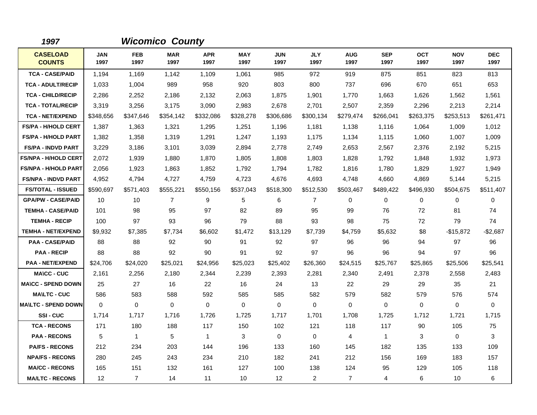| 1997                             |                    |                    | <b>Wicomico County</b> |                    |                    |                    |                    |                    |                    |                    |                    |                    |
|----------------------------------|--------------------|--------------------|------------------------|--------------------|--------------------|--------------------|--------------------|--------------------|--------------------|--------------------|--------------------|--------------------|
| <b>CASELOAD</b><br><b>COUNTS</b> | <b>JAN</b><br>1997 | <b>FEB</b><br>1997 | <b>MAR</b><br>1997     | <b>APR</b><br>1997 | <b>MAY</b><br>1997 | <b>JUN</b><br>1997 | <b>JLY</b><br>1997 | <b>AUG</b><br>1997 | <b>SEP</b><br>1997 | <b>OCT</b><br>1997 | <b>NOV</b><br>1997 | <b>DEC</b><br>1997 |
| <b>TCA - CASE/PAID</b>           | 1,194              | 1,169              | 1,142                  | 1,109              | 1,061              | 985                | 972                | 919                | 875                | 851                | 823                | 813                |
| <b>TCA - ADULT/RECIP</b>         | 1,033              | 1,004              | 989                    | 958                | 920                | 803                | 800                | 737                | 696                | 670                | 651                | 653                |
| <b>TCA - CHILD/RECIP</b>         | 2,286              | 2,252              | 2,186                  | 2,132              | 2,063              | 1,875              | 1,901              | 1,770              | 1,663              | 1,626              | 1,562              | 1,561              |
| <b>TCA - TOTAL/RECIP</b>         | 3,319              | 3,256              | 3,175                  | 3,090              | 2,983              | 2,678              | 2,701              | 2,507              | 2,359              | 2,296              | 2,213              | 2,214              |
| <b>TCA - NET/EXPEND</b>          | \$348,656          | \$347,646          | \$354,142              | \$332,086          | \$328,278          | \$306,686          | \$300,134          | \$279,474          | \$266,041          | \$263,375          | \$253,513          | \$261,471          |
| <b>FS/PA - H/HOLD CERT</b>       | 1,387              | 1,363              | 1,321                  | 1,295              | 1,251              | 1,196              | 1,181              | 1,138              | 1,116              | 1,064              | 1,009              | 1,012              |
| <b>FS/PA - H/HOLD PART</b>       | 1,382              | 1,358              | 1,319                  | 1,291              | 1,247              | 1,193              | 1,175              | 1,134              | 1,115              | 1,060              | 1,007              | 1,009              |
| <b>FS/PA - INDVD PART</b>        | 3,229              | 3,186              | 3,101                  | 3,039              | 2,894              | 2,778              | 2,749              | 2,653              | 2,567              | 2,376              | 2,192              | 5,215              |
| <b>FS/NPA - H/HOLD CERT</b>      | 2,072              | 1,939              | 1,880                  | 1,870              | 1,805              | 1,808              | 1,803              | 1,828              | 1,792              | 1,848              | 1,932              | 1,973              |
| <b>FS/NPA - H/HOLD PART</b>      | 2,056              | 1,923              | 1.863                  | 1,852              | 1,792              | 1.794              | 1,782              | 1,816              | 1,780              | 1,829              | 1,927              | 1,949              |
| <b>FS/NPA - INDVD PART</b>       | 4,952              | 4,794              | 4,727                  | 4,759              | 4,723              | 4,676              | 4,693              | 4,748              | 4,660              | 4,869              | 5,144              | 5,215              |
| <b>FS/TOTAL - ISSUED</b>         | \$590,697          | \$571,403          | \$555,221              | \$550,156          | \$537,043          | \$518,300          | \$512,530          | \$503,467          | \$489,422          | \$496,930          | \$504,675          | \$511,407          |
| <b>GPA/PW - CASE/PAID</b>        | 10                 | 10                 | $\overline{7}$         | 9                  | 5                  | 6                  | $\overline{7}$     | 0                  | $\mathbf 0$        | 0                  | $\mathbf 0$        | 0                  |
| <b>TEMHA - CASE/PAID</b>         | 101                | 98                 | 95                     | 97                 | 82                 | 89                 | 95                 | 99                 | 76                 | 72                 | 81                 | 74                 |
| <b>TEMHA - RECIP</b>             | 100                | 97                 | 93                     | 96                 | 79                 | 88                 | 93                 | 98                 | 75                 | 72                 | 79                 | 74                 |
| <b>TEMHA - NET/EXPEND</b>        | \$9,932            | \$7,385            | \$7,734                | \$6,602            | \$1,472            | \$13,129           | \$7,739            | \$4,759            | \$5,632            | \$8                | -\$15,872          | $-$2,687$          |
| <b>PAA - CASE/PAID</b>           | 88                 | 88                 | 92                     | 90                 | 91                 | 92                 | 97                 | 96                 | 96                 | 94                 | 97                 | 96                 |
| <b>PAA - RECIP</b>               | 88                 | 88                 | 92                     | 90                 | 91                 | 92                 | 97                 | 96                 | 96                 | 94                 | 97                 | 96                 |
| <b>PAA - NET/EXPEND</b>          | \$24,706           | \$24,020           | \$25,021               | \$24,956           | \$25,023           | \$25,402           | \$26,360           | \$24,515           | \$25,767           | \$25,865           | \$25,506           | \$25,541           |
| <b>MA\CC - CUC</b>               | 2,161              | 2,256              | 2,180                  | 2,344              | 2,239              | 2,393              | 2,281              | 2,340              | 2,491              | 2,378              | 2,558              | 2,483              |
| <b>MA\CC - SPEND DOWN</b>        | 25                 | 27                 | 16                     | 22                 | 16                 | 24                 | 13                 | 22                 | 29                 | 29                 | 35                 | 21                 |
| <b>MAILTC - CUC</b>              | 586                | 583                | 588                    | 592                | 585                | 585                | 582                | 579                | 582                | 579                | 576                | 574                |
| <b>MAILTC - SPEND DOWN</b>       | $\mathbf 0$        | $\mathbf 0$        | $\mathbf 0$            | $\mathbf 0$        | $\mathbf 0$        | $\mathbf 0$        | $\mathbf 0$        | 0                  | $\mathbf 0$        | $\mathbf 0$        | $\mathbf 0$        | $\mathbf 0$        |
| SSI-CUC                          | 1,714              | 1,717              | 1,716                  | 1,726              | 1,725              | 1,717              | 1,701              | 1,708              | 1,725              | 1,712              | 1,721              | 1,715              |
| <b>TCA - RECONS</b>              | 171                | 180                | 188                    | 117                | 150                | 102                | 121                | 118                | 117                | 90                 | 105                | 75                 |
| <b>PAA - RECONS</b>              | 5                  | $\mathbf{1}$       | 5                      | $\mathbf{1}$       | 3                  | $\mathbf 0$        | $\mathbf 0$        | 4                  | $\mathbf{1}$       | 3                  | $\mathbf 0$        | 3                  |
| <b>PA/FS - RECONS</b>            | 212                | 234                | 203                    | 144                | 196                | 133                | 160                | 145                | 182                | 135                | 133                | 109                |
| <b>NPA/FS - RECONS</b>           | 280                | 245                | 243                    | 234                | 210                | 182                | 241                | 212                | 156                | 169                | 183                | 157                |
| <b>MA/CC - RECONS</b>            | 165                | 151                | 132                    | 161                | 127                | 100                | 138                | 124                | 95                 | 129                | 105                | 118                |
| <b>MA/LTC - RECONS</b>           | 12                 | $\overline{7}$     | 14                     | 11                 | 10                 | 12                 | $\overline{a}$     | $\overline{7}$     | 4                  | 6                  | 10                 | 6                  |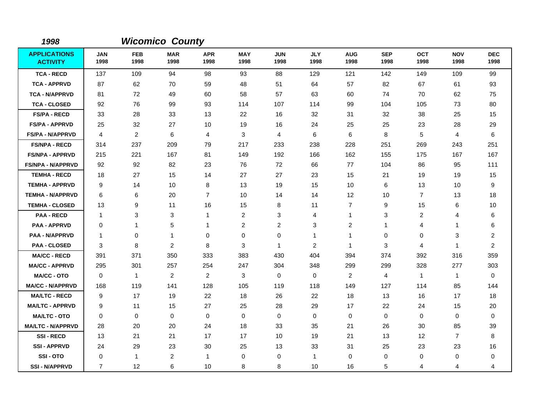| 1998                                   |                    |                    | <b>Wicomico County</b> |                    |                    |                    |                    |                    |                    |                    |                    |                    |
|----------------------------------------|--------------------|--------------------|------------------------|--------------------|--------------------|--------------------|--------------------|--------------------|--------------------|--------------------|--------------------|--------------------|
| <b>APPLICATIONS</b><br><b>ACTIVITY</b> | <b>JAN</b><br>1998 | <b>FEB</b><br>1998 | <b>MAR</b><br>1998     | <b>APR</b><br>1998 | <b>MAY</b><br>1998 | <b>JUN</b><br>1998 | <b>JLY</b><br>1998 | <b>AUG</b><br>1998 | <b>SEP</b><br>1998 | <b>OCT</b><br>1998 | <b>NOV</b><br>1998 | <b>DEC</b><br>1998 |
| <b>TCA - RECD</b>                      | 137                | 109                | 94                     | 98                 | 93                 | 88                 | 129                | 121                | 142                | 149                | 109                | 99                 |
| <b>TCA - APPRVD</b>                    | 87                 | 62                 | 70                     | 59                 | 48                 | 51                 | 64                 | 57                 | 82                 | 67                 | 61                 | 93                 |
| <b>TCA - N/APPRVD</b>                  | 81                 | 72                 | 49                     | 60                 | 58                 | 57                 | 63                 | 60                 | 74                 | 70                 | 62                 | 75                 |
| <b>TCA - CLOSED</b>                    | 92                 | 76                 | 99                     | 93                 | 114                | 107                | 114                | 99                 | 104                | 105                | 73                 | 80                 |
| <b>FS/PA - RECD</b>                    | 33                 | 28                 | 33                     | 13                 | 22                 | 16                 | 32                 | 31                 | 32                 | 38                 | 25                 | 15                 |
| <b>FS/PA - APPRVD</b>                  | 25                 | 32                 | 27                     | 10                 | 19                 | 16                 | 24                 | 25                 | 25                 | 23                 | 28                 | 29                 |
| <b>FS/PA - N/APPRVD</b>                | 4                  | $\overline{c}$     | 6                      | 4                  | 3                  | 4                  | 6                  | 6                  | 8                  | 5                  | 4                  | 6                  |
| <b>FS/NPA - RECD</b>                   | 314                | 237                | 209                    | 79                 | 217                | 233                | 238                | 228                | 251                | 269                | 243                | 251                |
| <b>FS/NPA - APPRVD</b>                 | 215                | 221                | 167                    | 81                 | 149                | 192                | 166                | 162                | 155                | 175                | 167                | 167                |
| <b>FS/NPA - N/APPRVD</b>               | 92                 | 92                 | 82                     | 23                 | 76                 | 72                 | 66                 | 77                 | 104                | 86                 | 95                 | 111                |
| <b>TEMHA - RECD</b>                    | 18                 | 27                 | 15                     | 14                 | 27                 | 27                 | 23                 | 15                 | 21                 | 19                 | 19                 | 15                 |
| <b>TEMHA - APPRVD</b>                  | 9                  | 14                 | 10                     | 8                  | 13                 | 19                 | 15                 | 10                 | 6                  | 13                 | 10                 | 9                  |
| <b>TEMHA - N/APPRVD</b>                | 6                  | 6                  | 20                     | $\overline{7}$     | 10                 | 14                 | 14                 | 12                 | 10                 | $\overline{7}$     | 13                 | 18                 |
| <b>TEMHA - CLOSED</b>                  | 13                 | 9                  | 11                     | 16                 | 15                 | 8                  | 11                 | $\overline{7}$     | 9                  | 15                 | 6                  | 10                 |
| <b>PAA - RECD</b>                      | $\mathbf{1}$       | 3                  | 3                      | $\mathbf{1}$       | $\overline{2}$     | 3                  | 4                  | 1                  | 3                  | 2                  | 4                  | 6                  |
| <b>PAA - APPRVD</b>                    | 0                  | 1                  | 5                      | $\mathbf{1}$       | $\overline{c}$     | 2                  | 3                  | 2                  | $\mathbf{1}$       | 4                  | 1                  | 6                  |
| <b>PAA - N/APPRVD</b>                  | 1                  | $\pmb{0}$          | 1                      | $\mathbf 0$        | $\mathbf 0$        | $\mathbf 0$        | $\mathbf{1}$       | -1                 | $\mathbf 0$        | 0                  | 3                  | $\overline{2}$     |
| <b>PAA - CLOSED</b>                    | 3                  | 8                  | $\overline{2}$         | 8                  | 3                  | $\mathbf{1}$       | 2                  | $\mathbf 1$        | 3                  | 4                  | 1                  | $\overline{c}$     |
| <b>MA/CC - RECD</b>                    | 391                | 371                | 350                    | 333                | 383                | 430                | 404                | 394                | 374                | 392                | 316                | 359                |
| <b>MA/CC - APPRVD</b>                  | 295                | 301                | 257                    | 254                | 247                | 304                | 348                | 299                | 299                | 328                | 277                | 303                |
| <b>MA/CC - OTO</b>                     | $\Omega$           | $\mathbf{1}$       | $\overline{2}$         | $\overline{2}$     | 3                  | $\Omega$           | $\Omega$           | $\overline{c}$     | 4                  | $\mathbf{1}$       | $\mathbf{1}$       | 0                  |
| <b>MA/CC - N/APPRVD</b>                | 168                | 119                | 141                    | 128                | 105                | 119                | 118                | 149                | 127                | 114                | 85                 | 144                |
| <b>MA/LTC - RECD</b>                   | 9                  | 17                 | 19                     | 22                 | 18                 | 26                 | 22                 | 18                 | 13                 | 16                 | 17                 | 18                 |
| <b>MA/LTC - APPRVD</b>                 | 9                  | 11                 | 15                     | 27                 | 25                 | 28                 | 29                 | 17                 | 22                 | 24                 | 15                 | 20                 |
| <b>MA/LTC - OTO</b>                    | 0                  | 0                  | 0                      | $\mathbf 0$        | 0                  | 0                  | 0                  | 0                  | 0                  | 0                  | 0                  | 0                  |
| <b>MA/LTC - N/APPRVD</b>               | 28                 | 20                 | 20                     | 24                 | 18                 | 33                 | 35                 | 21                 | 26                 | 30                 | 85                 | 39                 |
| <b>SSI-RECD</b>                        | 13                 | 21                 | 21                     | 17                 | 17                 | 10                 | 19                 | 21                 | 13                 | 12                 | $\overline{7}$     | 8                  |
| <b>SSI-APPRVD</b>                      | 24                 | 29                 | 23                     | 30                 | 25                 | 13                 | 33                 | 31                 | 25                 | 23                 | 23                 | 16                 |
| SSI-OTO                                | 0                  | $\mathbf{1}$       | $\overline{c}$         | $\mathbf{1}$       | 0                  | 0                  | $\mathbf{1}$       | 0                  | 0                  | 0                  | 0                  | 0                  |
| <b>SSI-N/APPRVD</b>                    | 7                  | 12                 | 6                      | 10                 | 8                  | 8                  | 10                 | 16                 | 5                  | 4                  | 4                  | 4                  |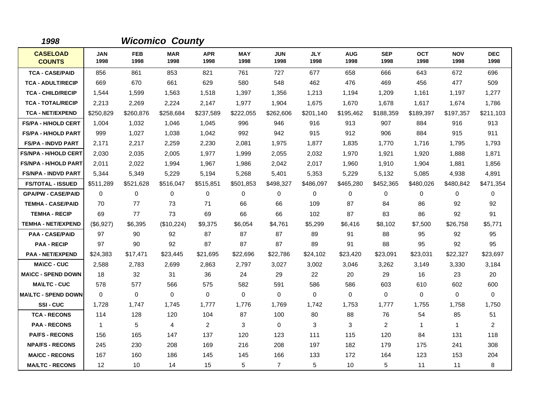| 1998                             |                    |                    | <b>Wicomico County</b> |                    |                    |                    |                    |                    |                    |                    |                    |                    |
|----------------------------------|--------------------|--------------------|------------------------|--------------------|--------------------|--------------------|--------------------|--------------------|--------------------|--------------------|--------------------|--------------------|
| <b>CASELOAD</b><br><b>COUNTS</b> | <b>JAN</b><br>1998 | <b>FEB</b><br>1998 | <b>MAR</b><br>1998     | <b>APR</b><br>1998 | <b>MAY</b><br>1998 | <b>JUN</b><br>1998 | <b>JLY</b><br>1998 | <b>AUG</b><br>1998 | <b>SEP</b><br>1998 | <b>OCT</b><br>1998 | <b>NOV</b><br>1998 | <b>DEC</b><br>1998 |
| <b>TCA - CASE/PAID</b>           | 856                | 861                | 853                    | 821                | 761                | 727                | 677                | 658                | 666                | 643                | 672                | 696                |
| <b>TCA - ADULT/RECIP</b>         | 669                | 670                | 661                    | 629                | 580                | 548                | 462                | 476                | 469                | 456                | 477                | 509                |
| <b>TCA - CHILD/RECIP</b>         | 1,544              | 1,599              | 1,563                  | 1,518              | 1,397              | 1,356              | 1,213              | 1,194              | 1,209              | 1,161              | 1,197              | 1,277              |
| <b>TCA - TOTAL/RECIP</b>         | 2,213              | 2,269              | 2,224                  | 2,147              | 1,977              | 1,904              | 1,675              | 1,670              | 1,678              | 1,617              | 1,674              | 1,786              |
| <b>TCA - NET/EXPEND</b>          | \$250,829          | \$260,876          | \$258,684              | \$237,589          | \$222,055          | \$262,606          | \$201,140          | \$195,462          | \$188,359          | \$189,397          | \$197,357          | \$211,103          |
| <b>FS/PA - H/HOLD CERT</b>       | 1,004              | 1,032              | 1,046                  | 1,045              | 996                | 946                | 916                | 913                | 907                | 884                | 916                | 913                |
| <b>FS/PA - H/HOLD PART</b>       | 999                | 1,027              | 1,038                  | 1,042              | 992                | 942                | 915                | 912                | 906                | 884                | 915                | 911                |
| <b>FS/PA - INDVD PART</b>        | 2,171              | 2,217              | 2,259                  | 2,230              | 2,081              | 1,975              | 1,877              | 1,835              | 1,770              | 1,716              | 1,795              | 1,793              |
| <b>FS/NPA - H/HOLD CERT</b>      | 2,030              | 2,035              | 2,005                  | 1,977              | 1,999              | 2,055              | 2,032              | 1,970              | 1,921              | 1,920              | 1,888              | 1,871              |
| <b>FS/NPA - H/HOLD PART</b>      | 2,011              | 2,022              | 1,994                  | 1,967              | 1,986              | 2,042              | 2,017              | 1,960              | 1,910              | 1,904              | 1,881              | 1,856              |
| <b>FS/NPA - INDVD PART</b>       | 5,344              | 5,349              | 5,229                  | 5,194              | 5,268              | 5,401              | 5,353              | 5,229              | 5,132              | 5,085              | 4,938              | 4,891              |
| <b>FS/TOTAL - ISSUED</b>         | \$511,289          | \$521,628          | \$516,047              | \$515,851          | \$501,853          | \$498,327          | \$486,097          | \$465,280          | \$452,365          | \$480,026          | \$480,842          | \$471,354          |
| <b>GPA/PW - CASE/PAID</b>        | $\Omega$           | 0                  | $\Omega$               | 0                  | 0                  | $\Omega$           | $\mathbf 0$        | 0                  | 0                  | 0                  | $\mathbf 0$        | 0                  |
| <b>TEMHA - CASE/PAID</b>         | 70                 | 77                 | 73                     | 71                 | 66                 | 66                 | 109                | 87                 | 84                 | 86                 | 92                 | 92                 |
| <b>TEMHA - RECIP</b>             | 69                 | 77                 | 73                     | 69                 | 66                 | 66                 | 102                | 87                 | 83                 | 86                 | 92                 | 91                 |
| <b>TEMHA - NET/EXPEND</b>        | (\$6,927)          | \$6,395            | (\$10,224)             | \$9,375            | \$6,054            | \$4,761            | \$5,299            | \$6,416            | \$8,102            | \$7,500            | \$26,758           | \$5,771            |
| <b>PAA - CASE/PAID</b>           | 97                 | 90                 | 92                     | 87                 | 87                 | 87                 | 89                 | 91                 | 88                 | 95                 | 92                 | 95                 |
| <b>PAA - RECIP</b>               | 97                 | 90                 | 92                     | 87                 | 87                 | 87                 | 89                 | 91                 | 88                 | 95                 | 92                 | 95                 |
| <b>PAA - NET/EXPEND</b>          | \$24,383           | \$17,471           | \$23,445               | \$21,695           | \$22,696           | \$22,786           | \$24,102           | \$23,420           | \$23,091           | \$23,031           | \$22,327           | \$23,697           |
| <b>MA\CC - CUC</b>               | 2,588              | 2,783              | 2,699                  | 2,863              | 2,797              | 3,027              | 3,002              | 3,046              | 3,262              | 3,149              | 3,330              | 3,184              |
| <b>MA\CC - SPEND DOWN</b>        | 18                 | 32                 | 31                     | 36                 | 24                 | 29                 | 22                 | 20                 | 29                 | 16                 | 23                 | 20                 |
| <b>MA\LTC - CUC</b>              | 578                | 577                | 566                    | 575                | 582                | 591                | 586                | 586                | 603                | 610                | 602                | 600                |
| <b>MA\LTC - SPEND DOWN</b>       | $\mathbf 0$        | 0                  | $\mathbf 0$            | 0                  | 0                  | 0                  | 0                  | $\mathbf 0$        | $\mathbf 0$        | 0                  | $\mathbf 0$        | 0                  |
| <b>SSI-CUC</b>                   | 1,728              | 1,747              | 1,745                  | 1,777              | 1,776              | 1,769              | 1,742              | 1,753              | 1,777              | 1,755              | 1,758              | 1,750              |
| <b>TCA - RECONS</b>              | 114                | 128                | 120                    | 104                | 87                 | 100                | 80                 | 88                 | 76                 | 54                 | 85                 | 51                 |
| <b>PAA - RECONS</b>              | $\overline{1}$     | 5                  | $\overline{4}$         | $\overline{2}$     | 3                  | $\mathbf 0$        | 3                  | 3                  | $\overline{2}$     | $\mathbf 1$        | $\mathbf{1}$       | $\overline{2}$     |
| <b>PA/FS - RECONS</b>            | 156                | 165                | 147                    | 137                | 120                | 123                | 111                | 115                | 120                | 84                 | 131                | 118                |
| <b>NPA/FS - RECONS</b>           | 245                | 230                | 208                    | 169                | 216                | 208                | 197                | 182                | 179                | 175                | 241                | 308                |
| <b>MA/CC - RECONS</b>            | 167                | 160                | 186                    | 145                | 145                | 166                | 133                | 172                | 164                | 123                | 153                | 204                |
| <b>MA/LTC - RECONS</b>           | 12                 | 10                 | 14                     | 15                 | 5                  | $\overline{7}$     | 5                  | 10                 | 5                  | 11                 | 11                 | 8                  |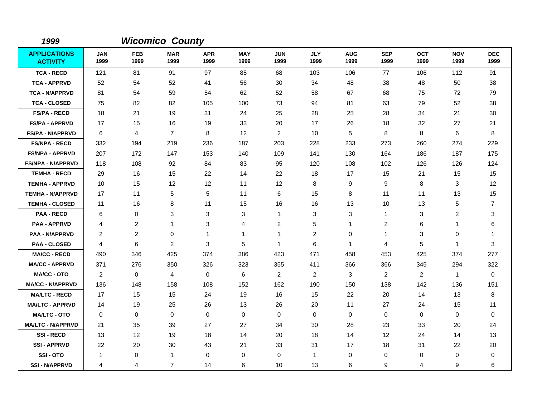| 1999                                   |                    |                    | <b>Wicomico County</b> |                    |                    |                         |                    |                    |                    |                    |                    |                    |
|----------------------------------------|--------------------|--------------------|------------------------|--------------------|--------------------|-------------------------|--------------------|--------------------|--------------------|--------------------|--------------------|--------------------|
| <b>APPLICATIONS</b><br><b>ACTIVITY</b> | <b>JAN</b><br>1999 | <b>FEB</b><br>1999 | <b>MAR</b><br>1999     | <b>APR</b><br>1999 | <b>MAY</b><br>1999 | <b>JUN</b><br>1999      | <b>JLY</b><br>1999 | <b>AUG</b><br>1999 | <b>SEP</b><br>1999 | <b>OCT</b><br>1999 | <b>NOV</b><br>1999 | <b>DEC</b><br>1999 |
| <b>TCA - RECD</b>                      | 121                | 81                 | 91                     | 97                 | 85                 | 68                      | 103                | 106                | 77                 | 106                | 112                | 91                 |
| <b>TCA - APPRVD</b>                    | 52                 | 54                 | 52                     | 41                 | 56                 | 30                      | 34                 | 48                 | 38                 | 48                 | 50                 | 38                 |
| <b>TCA - N/APPRVD</b>                  | 81                 | 54                 | 59                     | 54                 | 62                 | 52                      | 58                 | 67                 | 68                 | 75                 | 72                 | 79                 |
| <b>TCA - CLOSED</b>                    | 75                 | 82                 | 82                     | 105                | 100                | 73                      | 94                 | 81                 | 63                 | 79                 | 52                 | 38                 |
| <b>FS/PA - RECD</b>                    | 18                 | 21                 | 19                     | 31                 | 24                 | 25                      | 28                 | 25                 | 28                 | 34                 | 21                 | 30                 |
| <b>FS/PA - APPRVD</b>                  | 17                 | 15                 | 16                     | 19                 | 33                 | 20                      | 17                 | 26                 | 18                 | 32                 | 27                 | 21                 |
| <b>FS/PA - N/APPRVD</b>                | 6                  | 4                  | $\overline{7}$         | 8                  | 12                 | $\overline{2}$          | 10                 | 5                  | 8                  | 8                  | 6                  | 8                  |
| <b>FS/NPA - RECD</b>                   | 332                | 194                | 219                    | 236                | 187                | 203                     | 228                | 233                | 273                | 260                | 274                | 229                |
| <b>FS/NPA - APPRVD</b>                 | 207                | 172                | 147                    | 153                | 140                | 109                     | 141                | 130                | 164                | 186                | 187                | 175                |
| <b>FS/NPA - N/APPRVD</b>               | 118                | 108                | 92                     | 84                 | 83                 | 95                      | 120                | 108                | 102                | 126                | 126                | 124                |
| <b>TEMHA - RECD</b>                    | 29                 | 16                 | 15                     | 22                 | 14                 | 22                      | 18                 | 17                 | 15                 | 21                 | 15                 | 15                 |
| <b>TEMHA - APPRVD</b>                  | 10                 | 15                 | 12                     | 12                 | 11                 | 12                      | 8                  | 9                  | 9                  | 8                  | 3                  | 12                 |
| <b>TEMHA - N/APPRVD</b>                | 17                 | 11                 | 5                      | 5                  | 11                 | 6                       | 15                 | 8                  | 11                 | 11                 | 13                 | 15                 |
| <b>TEMHA - CLOSED</b>                  | 11                 | 16                 | 8                      | 11                 | 15                 | 16                      | 16                 | 13                 | 10                 | 13                 | 5                  | 7                  |
| <b>PAA - RECD</b>                      | 6                  | 0                  | 3                      | 3                  | 3                  | 1                       | 3                  | 3                  | $\mathbf{1}$       | 3                  | 2                  | 3                  |
| <b>PAA - APPRVD</b>                    | 4                  | 2                  | $\mathbf{1}$           | 3                  | 4                  | $\overline{\mathbf{c}}$ | 5                  | 1                  | 2                  | 6                  | 1                  | 6                  |
| <b>PAA - N/APPRVD</b>                  | 2                  | $\overline{c}$     | $\mathbf 0$            | 1                  | 1                  | 1                       | 2                  | 0                  | $\mathbf 1$        | 3                  | 0                  | $\mathbf 1$        |
| <b>PAA - CLOSED</b>                    | 4                  | 6                  | $\overline{c}$         | 3                  | 5                  | 1                       | 6                  | $\mathbf{1}$       | $\overline{4}$     | 5                  | 1                  | 3                  |
| <b>MA/CC - RECD</b>                    | 490                | 346                | 425                    | 374                | 386                | 423                     | 471                | 458                | 453                | 425                | 374                | 277                |
| <b>MA/CC - APPRVD</b>                  | 371                | 276                | 350                    | 326                | 323                | 355                     | 411                | 366                | 366                | 345                | 294                | 322                |
| <b>MA/CC - OTO</b>                     | 2                  | 0                  | 4                      | 0                  | $\,6$              | $\overline{c}$          | $\overline{2}$     | 3                  | $\overline{2}$     | $\overline{2}$     | $\mathbf{1}$       | 0                  |
| <b>MA/CC - N/APPRVD</b>                | 136                | 148                | 158                    | 108                | 152                | 162                     | 190                | 150                | 138                | 142                | 136                | 151                |
| <b>MA/LTC - RECD</b>                   | 17                 | 15                 | 15                     | 24                 | 19                 | 16                      | 15                 | 22                 | 20                 | 14                 | 13                 | 8                  |
| <b>MA/LTC - APPRVD</b>                 | 14                 | 19                 | 25                     | 26                 | 13                 | 26                      | 20                 | 11                 | 27                 | 24                 | 15                 | 11                 |
| <b>MA/LTC - OTO</b>                    | 0                  | 0                  | $\mathbf 0$            | $\mathbf 0$        | $\mathbf 0$        | 0                       | $\mathbf 0$        | 0                  | 0                  | 0                  | 0                  | 0                  |
| <b>MA/LTC - N/APPRVD</b>               | 21                 | 35                 | 39                     | 27                 | 27                 | 34                      | 30                 | 28                 | 23                 | 33                 | 20                 | 24                 |
| <b>SSI-RECD</b>                        | 13                 | 12                 | 19                     | 18                 | 14                 | 20                      | 18                 | 14                 | 12                 | 24                 | 14                 | 13                 |
| <b>SSI - APPRVD</b>                    | 22                 | 20                 | 30                     | 43                 | 21                 | 33                      | 31                 | 17                 | 18                 | 31                 | 22                 | 20                 |
| SSI-OTO                                | -1                 | 0                  | $\overline{1}$         | 0                  | 0                  | 0                       | 1                  | 0                  | $\mathbf 0$        | 0                  | 0                  | 0                  |
| <b>SSI - N/APPRVD</b>                  | 4                  | 4                  | $\overline{7}$         | 14                 | 6                  | 10                      | 13                 | 6                  | 9                  | 4                  | 9                  | 6                  |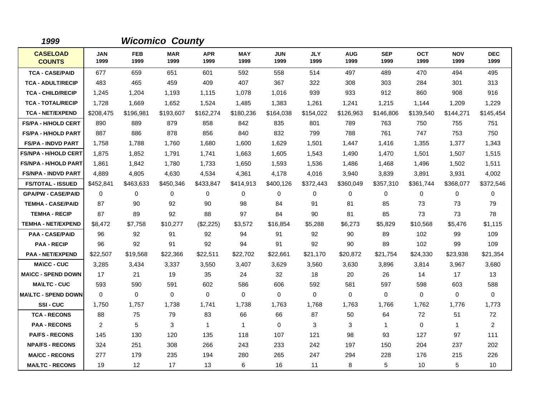| 1999                             |                    |                    | <b>Wicomico County</b> |                    |                    |                    |                    |                    |                    |                    |                    |                    |
|----------------------------------|--------------------|--------------------|------------------------|--------------------|--------------------|--------------------|--------------------|--------------------|--------------------|--------------------|--------------------|--------------------|
| <b>CASELOAD</b><br><b>COUNTS</b> | <b>JAN</b><br>1999 | <b>FEB</b><br>1999 | <b>MAR</b><br>1999     | <b>APR</b><br>1999 | <b>MAY</b><br>1999 | <b>JUN</b><br>1999 | <b>JLY</b><br>1999 | <b>AUG</b><br>1999 | <b>SEP</b><br>1999 | <b>OCT</b><br>1999 | <b>NOV</b><br>1999 | <b>DEC</b><br>1999 |
| <b>TCA - CASE/PAID</b>           | 677                | 659                | 651                    | 601                | 592                | 558                | 514                | 497                | 489                | 470                | 494                | 495                |
| <b>TCA - ADULT/RECIP</b>         | 483                | 465                | 459                    | 409                | 407                | 367                | 322                | 308                | 303                | 284                | 301                | 313                |
| <b>TCA - CHILD/RECIP</b>         | 1,245              | 1,204              | 1,193                  | 1,115              | 1,078              | 1,016              | 939                | 933                | 912                | 860                | 908                | 916                |
| <b>TCA - TOTAL/RECIP</b>         | 1,728              | 1,669              | 1,652                  | 1,524              | 1,485              | 1,383              | 1,261              | 1,241              | 1,215              | 1,144              | 1,209              | 1,229              |
| <b>TCA - NET/EXPEND</b>          | \$208,475          | \$196,981          | \$193,607              | \$162,274          | \$180,236          | \$164,038          | \$154,022          | \$126,963          | \$146,806          | \$139,540          | \$144,271          | \$145,454          |
| <b>FS/PA - H/HOLD CERT</b>       | 890                | 889                | 879                    | 858                | 842                | 835                | 801                | 789                | 763                | 750                | 755                | 751                |
| <b>FS/PA - H/HOLD PART</b>       | 887                | 886                | 878                    | 856                | 840                | 832                | 799                | 788                | 761                | 747                | 753                | 750                |
| <b>FS/PA - INDVD PART</b>        | 1,758              | 1,788              | 1,760                  | 1,680              | 1,600              | 1,629              | 1,501              | 1,447              | 1,416              | 1,355              | 1,377              | 1,343              |
| <b>FS/NPA - H/HOLD CERT</b>      | 1,875              | 1,852              | 1,791                  | 1,741              | 1,663              | 1,605              | 1,543              | 1,490              | 1,470              | 1,501              | 1,507              | 1,515              |
| <b>FS/NPA - H/HOLD PART</b>      | 1,861              | 1,842              | 1,780                  | 1,733              | 1,650              | 1,593              | 1,536              | 1,486              | 1,468              | 1,496              | 1,502              | 1,511              |
| <b>FS/NPA - INDVD PART</b>       | 4,889              | 4,805              | 4,630                  | 4,534              | 4,361              | 4,178              | 4,016              | 3,940              | 3,839              | 3,891              | 3,931              | 4,002              |
| <b>FS/TOTAL - ISSUED</b>         | \$452,841          | \$463,633          | \$450,346              | \$433,847          | \$414,913          | \$400,126          | \$372,443          | \$360,049          | \$357,310          | \$361,744          | \$368,077          | \$372,546          |
| <b>GPA/PW - CASE/PAID</b>        | $\mathbf 0$        | 0                  | 0                      | 0                  | $\mathbf 0$        | $\Omega$           | $\mathbf 0$        | 0                  | 0                  | 0                  | 0                  | 0                  |
| <b>TEMHA - CASE/PAID</b>         | 87                 | 90                 | 92                     | 90                 | 98                 | 84                 | 91                 | 81                 | 85                 | 73                 | 73                 | 79                 |
| <b>TEMHA - RECIP</b>             | 87                 | 89                 | 92                     | 88                 | 97                 | 84                 | 90                 | 81                 | 85                 | 73                 | 73                 | 78                 |
| <b>TEMHA - NET/EXPEND</b>        | \$8,472            | \$7,758            | \$10,277               | (\$2,225)          | \$3,572            | \$16,854           | \$5,288            | \$6,273            | \$5,829            | \$10,568           | \$5,476            | \$1,115            |
| <b>PAA - CASE/PAID</b>           | 96                 | 92                 | 91                     | 92                 | 94                 | 91                 | 92                 | 90                 | 89                 | 102                | 99                 | 109                |
| <b>PAA - RECIP</b>               | 96                 | 92                 | 91                     | 92                 | 94                 | 91                 | 92                 | 90                 | 89                 | 102                | 99                 | 109                |
| <b>PAA - NET/EXPEND</b>          | \$22,507           | \$19,568           | \$22,366               | \$22,511           | \$22,702           | \$22,661           | \$21,170           | \$20,872           | \$21,754           | \$24,330           | \$23,938           | \$21,354           |
| <b>MA\CC - CUC</b>               | 3,285              | 3,434              | 3,337                  | 3,550              | 3,407              | 3,629              | 3,560              | 3,630              | 3,896              | 3,814              | 3,967              | 3,680              |
| <b>MA\CC - SPEND DOWN</b>        | 17                 | 21                 | 19                     | 35                 | 24                 | 32                 | 18                 | 20                 | 26                 | 14                 | 17                 | 13                 |
| <b>MA\LTC - CUC</b>              | 593                | 590                | 591                    | 602                | 586                | 606                | 592                | 581                | 597                | 598                | 603                | 588                |
| <b>MAILTC - SPEND DOWN</b>       | $\Omega$           | $\Omega$           | $\mathbf 0$            | $\Omega$           | $\Omega$           | $\Omega$           | $\Omega$           | $\Omega$           | $\Omega$           | $\Omega$           | $\mathbf 0$        | $\Omega$           |
| SSI-CUC                          | 1,750              | 1,757              | 1,738                  | 1,741              | 1,738              | 1,763              | 1,768              | 1,763              | 1,766              | 1,762              | 1,776              | 1,773              |
| <b>TCA - RECONS</b>              | 88                 | 75                 | 79                     | 83                 | 66                 | 66                 | 87                 | 50                 | 64                 | 72                 | 51                 | 72                 |
| <b>PAA - RECONS</b>              | 2                  | 5                  | 3                      | $\mathbf{1}$       | $\mathbf{1}$       | $\Omega$           | 3                  | 3                  | $\mathbf{1}$       | $\Omega$           | $\mathbf{1}$       | $\overline{2}$     |
| <b>PA/FS - RECONS</b>            | 145                | 130                | 120                    | 135                | 118                | 107                | 121                | 98                 | 93                 | 127                | 97                 | 111                |
| <b>NPA/FS - RECONS</b>           | 324                | 251                | 308                    | 266                | 243                | 233                | 242                | 197                | 150                | 204                | 237                | 202                |
| <b>MA/CC - RECONS</b>            | 277                | 179                | 235                    | 194                | 280                | 265                | 247                | 294                | 228                | 176                | 215                | 226                |
| <b>MA/LTC - RECONS</b>           | 19                 | 12                 | 17                     | 13                 | 6                  | 16                 | 11                 | 8                  | 5                  | 10                 | 5                  | 10                 |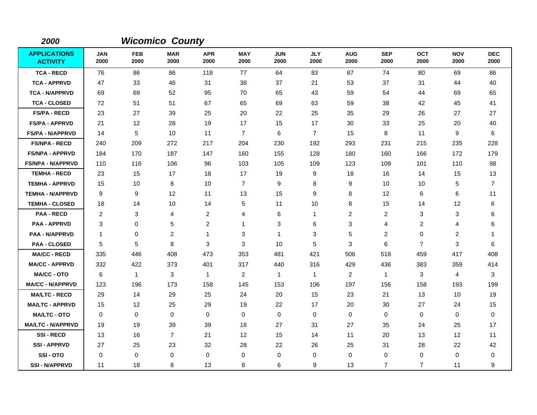| 2000                                   |                    |                    | <b>Wicomico County</b> |                    |                    |                    |                    |                    |                    |                    |                    |                    |
|----------------------------------------|--------------------|--------------------|------------------------|--------------------|--------------------|--------------------|--------------------|--------------------|--------------------|--------------------|--------------------|--------------------|
| <b>APPLICATIONS</b><br><b>ACTIVITY</b> | <b>JAN</b><br>2000 | <b>FEB</b><br>2000 | <b>MAR</b><br>2000     | <b>APR</b><br>2000 | <b>MAY</b><br>2000 | <b>JUN</b><br>2000 | <b>JLY</b><br>2000 | <b>AUG</b><br>2000 | <b>SEP</b><br>2000 | <b>OCT</b><br>2000 | <b>NOV</b><br>2000 | <b>DEC</b><br>2000 |
| <b>TCA - RECD</b>                      | 76                 | 86                 | 86                     | 118                | 77                 | 64                 | 83                 | 87                 | 74                 | 80                 | 69                 | 86                 |
| <b>TCA - APPRVD</b>                    | 47                 | 33                 | 46                     | 31                 | 38                 | 37                 | 21                 | 53                 | 37                 | 31                 | 44                 | 40                 |
| <b>TCA - N/APPRVD</b>                  | 69                 | 69                 | 52                     | 95                 | 70                 | 65                 | 43                 | 59                 | 54                 | 44                 | 69                 | 65                 |
| <b>TCA - CLOSED</b>                    | 72                 | 51                 | 51                     | 67                 | 65                 | 69                 | 63                 | 59                 | 38                 | 42                 | 45                 | 41                 |
| <b>FS/PA - RECD</b>                    | 23                 | 27                 | 39                     | 25                 | 20                 | 22                 | 25                 | 35                 | 29                 | 26                 | 27                 | 27                 |
| <b>FS/PA - APPRVD</b>                  | 21                 | 12                 | 28                     | 19                 | 17                 | 15                 | 17                 | 30                 | 33                 | 25                 | 20                 | 40                 |
| <b>FS/PA - N/APPRVD</b>                | 14                 | 5                  | 10                     | 11                 | $\overline{7}$     | 6                  | $\overline{7}$     | 15                 | 8                  | 11                 | 9                  | 6                  |
| <b>FS/NPA - RECD</b>                   | 240                | 209                | 272                    | 217                | 204                | 230                | 192                | 293                | 231                | 215                | 235                | 228                |
| <b>FS/NPA - APPRVD</b>                 | 184                | 170                | 187                    | 147                | 160                | 155                | 128                | 180                | 160                | 166                | 172                | 179                |
| <b>FS/NPA - N/APPRVD</b>               | 110                | 116                | 106                    | 96                 | 103                | 105                | 109                | 123                | 109                | 101                | 110                | 98                 |
| <b>TEMHA - RECD</b>                    | 23                 | 15                 | 17                     | 18                 | 17                 | 19                 | 9                  | 18                 | 16                 | 14                 | 15                 | 13                 |
| <b>TEMHA - APPRVD</b>                  | 15                 | 10                 | $\, 8$                 | 10                 | $\overline{7}$     | 9                  | 8                  | 9                  | 10                 | 10                 | 5                  | $\overline{7}$     |
| <b>TEMHA - N/APPRVD</b>                | 9                  | 9                  | 12                     | 11                 | 13                 | 15                 | 9                  | 8                  | 12                 | 6                  | 6                  | 11                 |
| <b>TEMHA - CLOSED</b>                  | 18                 | 14                 | 10                     | 14                 | 5                  | 11                 | 10                 | 8                  | 15                 | 14                 | 12                 | 6                  |
| <b>PAA - RECD</b>                      | $\overline{c}$     | 3                  | 4                      | $\overline{c}$     | 4                  | 6                  | $\mathbf{1}$       | $\overline{c}$     | $\overline{c}$     | 3                  | 3                  | 6                  |
| <b>PAA - APPRVD</b>                    | 3                  | 0                  | $\mathbf 5$            | $\overline{c}$     | 1                  | 3                  | 6                  | 3                  | $\overline{4}$     | 2                  | 4                  | 6                  |
| <b>PAA - N/APPRVD</b>                  | $\mathbf 1$        | 0                  | $\overline{c}$         | 1                  | 3                  | 1                  | 3                  | 5                  | 2                  | 0                  | $\overline{c}$     | -1                 |
| <b>PAA - CLOSED</b>                    | 5                  | 5                  | 8                      | 3                  | $\mathbf{3}$       | 10                 | 5                  | 3                  | 6                  | $\overline{7}$     | 3                  | 6                  |
| <b>MA/CC - RECD</b>                    | 335                | 446                | 408                    | 473                | 353                | 481                | 421                | 506                | 518                | 459                | 417                | 408                |
| <b>MA/CC - APPRVD</b>                  | 332                | 422                | 373                    | 401                | 317                | 440                | 316                | 429                | 436                | 383                | 359                | 414                |
| <b>MA/CC - OTO</b>                     | 6                  | $\mathbf{1}$       | 3                      | -1                 | $\overline{2}$     | $\mathbf{1}$       | $\mathbf{1}$       | $\overline{2}$     | $\mathbf{1}$       | 3                  | 4                  | 3                  |
| <b>MA/CC - N/APPRVD</b>                | 123                | 196                | 173                    | 158                | 145                | 153                | 106                | 197                | 156                | 158                | 193                | 199                |
| <b>MA/LTC - RECD</b>                   | 29                 | 14                 | 29                     | 25                 | 24                 | 20                 | 15                 | 23                 | 21                 | 13                 | 10                 | 19                 |
| <b>MA/LTC - APPRVD</b>                 | 15                 | 12                 | 25                     | 29                 | 19                 | 22                 | 17                 | 20                 | 30                 | 27                 | 24                 | 15                 |
| <b>MA/LTC - OTO</b>                    | 0                  | 0                  | 0                      | 0                  | 0                  | 0                  | 0                  | 0                  | 0                  | 0                  | 0                  | 0                  |
| <b>MA/LTC - N/APPRVD</b>               | 19                 | 19                 | 39                     | 39                 | 18                 | 27                 | 31                 | 27                 | 35                 | 24                 | 25                 | 17                 |
| <b>SSI-RECD</b>                        | 13                 | 16                 | $\overline{7}$         | 21                 | 12                 | 15                 | 14                 | 11                 | 20                 | 13                 | 12                 | 11                 |
| <b>SSI - APPRVD</b>                    | 27                 | 25                 | 23                     | 32                 | 28                 | 22                 | 26                 | 25                 | 31                 | 28                 | 22                 | 42                 |
| SSI-OTO                                | 0                  | 0                  | 0                      | $\mathbf 0$        | 0                  | 0                  | $\mathbf 0$        | 0                  | 0                  | 0                  | 0                  | 0                  |
| <b>SSI - N/APPRVD</b>                  | 11                 | 18                 | 8                      | 13                 | 8                  | 6                  | 9                  | 13                 | $\overline{7}$     | $\overline{7}$     | 11                 | 9                  |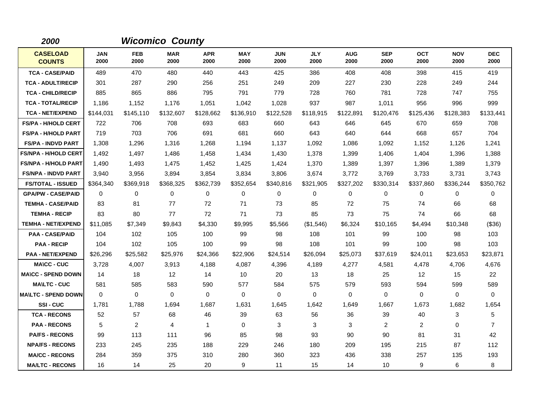| 2000                             |                    |                    | <b>Wicomico County</b> |                    |                    |                    |                    |                    |                    |                    |                    |                    |
|----------------------------------|--------------------|--------------------|------------------------|--------------------|--------------------|--------------------|--------------------|--------------------|--------------------|--------------------|--------------------|--------------------|
| <b>CASELOAD</b><br><b>COUNTS</b> | <b>JAN</b><br>2000 | <b>FEB</b><br>2000 | <b>MAR</b><br>2000     | <b>APR</b><br>2000 | <b>MAY</b><br>2000 | <b>JUN</b><br>2000 | <b>JLY</b><br>2000 | <b>AUG</b><br>2000 | <b>SEP</b><br>2000 | <b>OCT</b><br>2000 | <b>NOV</b><br>2000 | <b>DEC</b><br>2000 |
| <b>TCA - CASE/PAID</b>           | 489                | 470                | 480                    | 440                | 443                | 425                | 386                | 408                | 408                | 398                | 415                | 419                |
| <b>TCA - ADULT/RECIP</b>         | 301                | 287                | 290                    | 256                | 251                | 249                | 209                | 227                | 230                | 228                | 249                | 244                |
| <b>TCA - CHILD/RECIP</b>         | 885                | 865                | 886                    | 795                | 791                | 779                | 728                | 760                | 781                | 728                | 747                | 755                |
| <b>TCA - TOTAL/RECIP</b>         | 1,186              | 1,152              | 1,176                  | 1,051              | 1,042              | 1,028              | 937                | 987                | 1,011              | 956                | 996                | 999                |
| <b>TCA - NET/EXPEND</b>          | \$144,031          | \$145,110          | \$132,607              | \$128,662          | \$136,910          | \$122,528          | \$118,915          | \$122,891          | \$120,476          | \$125,436          | \$128,383          | \$133,441          |
| <b>FS/PA - H/HOLD CERT</b>       | 722                | 706                | 708                    | 693                | 683                | 660                | 643                | 646                | 645                | 670                | 659                | 708                |
| <b>FS/PA - H/HOLD PART</b>       | 719                | 703                | 706                    | 691                | 681                | 660                | 643                | 640                | 644                | 668                | 657                | 704                |
| <b>FS/PA - INDVD PART</b>        | 1,308              | 1,296              | 1,316                  | 1,268              | 1,194              | 1,137              | 1,092              | 1,086              | 1,092              | 1,152              | 1,126              | 1,241              |
| <b>FS/NPA - H/HOLD CERT</b>      | 1,492              | 1,497              | 1,486                  | 1,458              | 1,434              | 1,430              | 1,378              | 1,399              | 1,406              | 1,404              | 1,396              | 1,388              |
| <b>FS/NPA - H/HOLD PART</b>      | 1,490              | 1,493              | 1,475                  | 1,452              | 1,425              | 1,424              | 1,370              | 1,389              | 1,397              | 1,396              | 1,389              | 1,379              |
| <b>FS/NPA - INDVD PART</b>       | 3,940              | 3,956              | 3,894                  | 3,854              | 3,834              | 3,806              | 3,674              | 3,772              | 3,769              | 3,733              | 3,731              | 3,743              |
| <b>FS/TOTAL - ISSUED</b>         | \$364,340          | \$369,918          | \$368,325              | \$362,739          | \$352,654          | \$340,816          | \$321,905          | \$327,202          | \$330,314          | \$337,860          | \$336,244          | \$350,762          |
| <b>GPA/PW - CASE/PAID</b>        | 0                  | 0                  | 0                      | 0                  | 0                  | 0                  | 0                  | 0                  | 0                  | 0                  | $\mathbf 0$        | 0                  |
| <b>TEMHA - CASE/PAID</b>         | 83                 | 81                 | 77                     | 72                 | 71                 | 73                 | 85                 | 72                 | 75                 | 74                 | 66                 | 68                 |
| <b>TEMHA - RECIP</b>             | 83                 | 80                 | 77                     | 72                 | 71                 | 73                 | 85                 | 73                 | 75                 | 74                 | 66                 | 68                 |
| <b>TEMHA - NET/EXPEND</b>        | \$11,085           | \$7,349            | \$9,843                | \$4,330            | \$9,995            | \$5,566            | (\$1,546)          | \$6,324            | \$10,165           | \$4,494            | \$10,348           | (\$36)             |
| <b>PAA - CASE/PAID</b>           | 104                | 102                | 105                    | 100                | 99                 | 98                 | 108                | 101                | 99                 | 100                | 98                 | 103                |
| <b>PAA - RECIP</b>               | 104                | 102                | 105                    | 100                | 99                 | 98                 | 108                | 101                | 99                 | 100                | 98                 | 103                |
| <b>PAA - NET/EXPEND</b>          | \$26,296           | \$25,582           | \$25,976               | \$24,366           | \$22,906           | \$24,514           | \$26,094           | \$25,073           | \$37,619           | \$24,011           | \$23,653           | \$23,871           |
| <b>MA\CC - CUC</b>               | 3,728              | 4,007              | 3,913                  | 4,188              | 4,087              | 4,396              | 4,189              | 4,277              | 4,581              | 4,478              | 4,706              | 4,676              |
| <b>MA\CC - SPEND DOWN</b>        | 14                 | 18                 | 12                     | 14                 | 10                 | 20                 | 13                 | 18                 | 25                 | 12                 | 15                 | 22                 |
| <b>MA\LTC - CUC</b>              | 581                | 585                | 583                    | 590                | 577                | 584                | 575                | 579                | 593                | 594                | 599                | 589                |
| <b>MA\LTC - SPEND DOWN</b>       | $\mathbf 0$        | 0                  | 0                      | 0                  | 0                  | 0                  | 0                  | 0                  | 0                  | 0                  | 0                  | 0                  |
| SSI-CUC                          | 1,781              | 1,788              | 1,694                  | 1,687              | 1,631              | 1,645              | 1,642              | 1,649              | 1,667              | 1,673              | 1,682              | 1,654              |
| <b>TCA - RECONS</b>              | 52                 | 57                 | 68                     | 46                 | 39                 | 63                 | 56                 | 36                 | 39                 | 40                 | 3                  | 5                  |
| <b>PAA - RECONS</b>              | 5                  | $\overline{2}$     | $\overline{4}$         | $\mathbf{1}$       | 0                  | 3                  | 3                  | 3                  | $\overline{2}$     | 2                  | $\mathbf 0$        | $\overline{7}$     |
| <b>PA/FS - RECONS</b>            | 99                 | 113                | 111                    | 96                 | 85                 | 98                 | 93                 | 90                 | 90                 | 81                 | 31                 | 42                 |
| <b>NPA/FS - RECONS</b>           | 233                | 245                | 235                    | 188                | 229                | 246                | 180                | 209                | 195                | 215                | 87                 | 112                |
| <b>MA/CC - RECONS</b>            | 284                | 359                | 375                    | 310                | 280                | 360                | 323                | 436                | 338                | 257                | 135                | 193                |
| <b>MA/LTC - RECONS</b>           | 16                 | 14                 | 25                     | 20                 | 9                  | 11                 | 15                 | 14                 | 10                 | 9                  | 6                  | 8                  |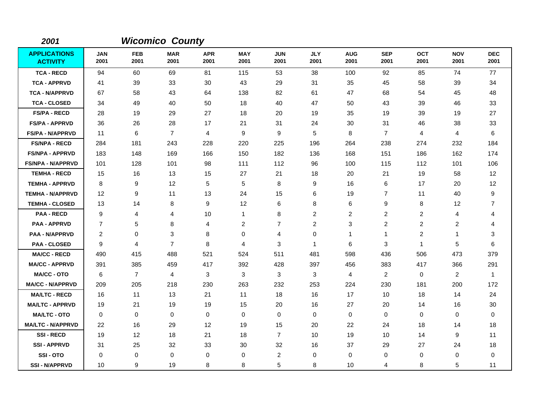| 2001                                   |                    |                    | <b>Wicomico County</b> |                    |                    |                    |                    |                    |                    |                    |                    |                    |
|----------------------------------------|--------------------|--------------------|------------------------|--------------------|--------------------|--------------------|--------------------|--------------------|--------------------|--------------------|--------------------|--------------------|
| <b>APPLICATIONS</b><br><b>ACTIVITY</b> | <b>JAN</b><br>2001 | <b>FEB</b><br>2001 | <b>MAR</b><br>2001     | <b>APR</b><br>2001 | <b>MAY</b><br>2001 | <b>JUN</b><br>2001 | <b>JLY</b><br>2001 | <b>AUG</b><br>2001 | <b>SEP</b><br>2001 | <b>OCT</b><br>2001 | <b>NOV</b><br>2001 | <b>DEC</b><br>2001 |
| <b>TCA - RECD</b>                      | 94                 | 60                 | 69                     | 81                 | 115                | 53                 | 38                 | 100                | 92                 | 85                 | 74                 | 77                 |
| <b>TCA - APPRVD</b>                    | 41                 | 39                 | 33                     | 30                 | 43                 | 29                 | 31                 | 35                 | 45                 | 58                 | 39                 | 34                 |
| <b>TCA - N/APPRVD</b>                  | 67                 | 58                 | 43                     | 64                 | 138                | 82                 | 61                 | 47                 | 68                 | 54                 | 45                 | 48                 |
| <b>TCA - CLOSED</b>                    | 34                 | 49                 | 40                     | 50                 | 18                 | 40                 | 47                 | 50                 | 43                 | 39                 | 46                 | 33                 |
| <b>FS/PA - RECD</b>                    | 28                 | 19                 | 29                     | 27                 | 18                 | 20                 | 19                 | 35                 | 19                 | 39                 | 19                 | 27                 |
| <b>FS/PA - APPRVD</b>                  | 36                 | 26                 | 28                     | 17                 | 21                 | 31                 | 24                 | 30                 | 31                 | 46                 | 38                 | 33                 |
| <b>FS/PA - N/APPRVD</b>                | 11                 | 6                  | $\overline{7}$         | 4                  | 9                  | 9                  | 5                  | 8                  | $\overline{7}$     | 4                  | 4                  | 6                  |
| <b>FS/NPA - RECD</b>                   | 284                | 181                | 243                    | 228                | 220                | 225                | 196                | 264                | 238                | 274                | 232                | 184                |
| <b>FS/NPA - APPRVD</b>                 | 183                | 148                | 169                    | 166                | 150                | 182                | 136                | 168                | 151                | 186                | 162                | 174                |
| <b>FS/NPA - N/APPRVD</b>               | 101                | 128                | 101                    | 98                 | 111                | 112                | 96                 | 100                | 115                | 112                | 101                | 106                |
| <b>TEMHA - RECD</b>                    | 15                 | 16                 | 13                     | 15                 | 27                 | 21                 | 18                 | 20                 | 21                 | 19                 | 58                 | 12                 |
| <b>TEMHA - APPRVD</b>                  | 8                  | 9                  | 12                     | 5                  | 5                  | 8                  | 9                  | 16                 | 6                  | 17                 | 20                 | 12                 |
| <b>TEMHA - N/APPRVD</b>                | 12                 | 9                  | 11                     | 13                 | 24                 | 15                 | 6                  | 19                 | $\overline{7}$     | 11                 | 40                 | 9                  |
| <b>TEMHA - CLOSED</b>                  | 13                 | 14                 | 8                      | 9                  | 12                 | 6                  | 8                  | 6                  | 9                  | 8                  | 12                 | $\overline{7}$     |
| <b>PAA - RECD</b>                      | 9                  | 4                  | 4                      | 10                 | $\mathbf{1}$       | 8                  | $\overline{c}$     | 2                  | 2                  | 2                  | 4                  | 4                  |
| <b>PAA - APPRVD</b>                    | $\overline{7}$     | 5                  | 8                      | 4                  | $\overline{c}$     | $\overline{7}$     | $\overline{2}$     | 3                  | $\overline{c}$     | $\overline{2}$     | $\overline{c}$     | 4                  |
| <b>PAA - N/APPRVD</b>                  | $\overline{c}$     | $\mathbf 0$        | 3                      | 8                  | $\mathbf 0$        | 4                  | 0                  | 1                  | $\mathbf{1}$       | $\overline{c}$     | 1                  | 3                  |
| <b>PAA - CLOSED</b>                    | 9                  | 4                  | $\overline{7}$         | 8                  | 4                  | 3                  | $\mathbf{1}$       | 6                  | 3                  | $\mathbf{1}$       | 5                  | 6                  |
| <b>MA/CC - RECD</b>                    | 490                | 415                | 488                    | 521                | 524                | 511                | 481                | 598                | 436                | 506                | 473                | 379                |
| <b>MA/CC - APPRVD</b>                  | 391                | 385                | 459                    | 417                | 392                | 428                | 397                | 456                | 383                | 417                | 366                | 291                |
| <b>MA/CC - OTO</b>                     | 6                  | $\overline{7}$     | $\overline{4}$         | 3                  | 3                  | 3                  | 3                  | 4                  | $\overline{2}$     | $\mathbf 0$        | $\overline{2}$     | $\overline{1}$     |
| <b>MA/CC - N/APPRVD</b>                | 209                | 205                | 218                    | 230                | 263                | 232                | 253                | 224                | 230                | 181                | 200                | 172                |
| <b>MA/LTC - RECD</b>                   | 16                 | 11                 | 13                     | 21                 | 11                 | 18                 | 16                 | 17                 | 10                 | 18                 | 14                 | 24                 |
| <b>MA/LTC - APPRVD</b>                 | 19                 | 21                 | 19                     | 19                 | 15                 | 20                 | 16                 | 27                 | 20                 | 14                 | 16                 | 30                 |
| <b>MA/LTC - OTO</b>                    | 0                  | 0                  | 0                      | 0                  | 0                  | 0                  | 0                  | 0                  | 0                  | 0                  | 0                  | 0                  |
| <b>MA/LTC - N/APPRVD</b>               | 22                 | 16                 | 29                     | 12                 | 19                 | 15                 | 20                 | 22                 | 24                 | 18                 | 14                 | 18                 |
| <b>SSI-RECD</b>                        | 19                 | 12                 | 18                     | 21                 | 18                 | $\overline{7}$     | 10                 | 19                 | 10                 | 14                 | 9                  | 11                 |
| <b>SSI-APPRVD</b>                      | 31                 | 25                 | 32                     | 33                 | 30                 | 32                 | 16                 | 37                 | 29                 | 27                 | 24                 | 18                 |
| SSI-OTO                                | 0                  | 0                  | $\mathbf 0$            | 0                  | 0                  | 2                  | 0                  | 0                  | 0                  | 0                  | 0                  | 0                  |
| <b>SSI - N/APPRVD</b>                  | 10                 | 9                  | 19                     | 8                  | 8                  | 5                  | 8                  | 10                 | 4                  | 8                  | 5                  | 11                 |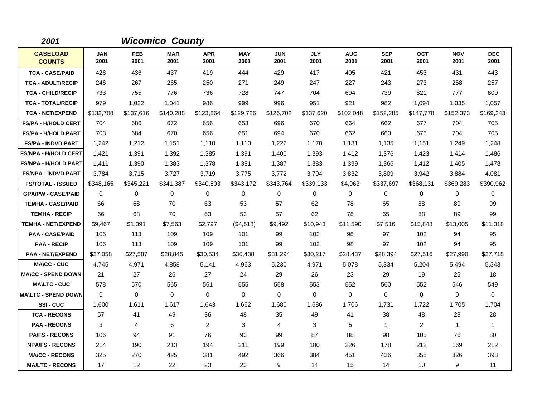| 2001                             |                    |                    | <b>Wicomico County</b> |                    |                    |                    |                    |                    |                    |                    |                    |                    |
|----------------------------------|--------------------|--------------------|------------------------|--------------------|--------------------|--------------------|--------------------|--------------------|--------------------|--------------------|--------------------|--------------------|
| <b>CASELOAD</b><br><b>COUNTS</b> | <b>JAN</b><br>2001 | <b>FEB</b><br>2001 | <b>MAR</b><br>2001     | <b>APR</b><br>2001 | <b>MAY</b><br>2001 | <b>JUN</b><br>2001 | <b>JLY</b><br>2001 | <b>AUG</b><br>2001 | <b>SEP</b><br>2001 | <b>OCT</b><br>2001 | <b>NOV</b><br>2001 | <b>DEC</b><br>2001 |
| <b>TCA - CASE/PAID</b>           | 426                | 436                | 437                    | 419                | 444                | 429                | 417                | 405                | 421                | 453                | 431                | 443                |
| <b>TCA - ADULT/RECIP</b>         | 246                | 267                | 265                    | 250                | 271                | 249                | 247                | 227                | 243                | 273                | 258                | 257                |
| <b>TCA - CHILD/RECIP</b>         | 733                | 755                | 776                    | 736                | 728                | 747                | 704                | 694                | 739                | 821                | 777                | 800                |
| <b>TCA - TOTAL/RECIP</b>         | 979                | 1,022              | 1,041                  | 986                | 999                | 996                | 951                | 921                | 982                | 1,094              | 1,035              | 1,057              |
| <b>TCA - NET/EXPEND</b>          | \$132,708          | \$137,616          | \$140,288              | \$123,864          | \$129,726          | \$126,702          | \$137,620          | \$102,048          | \$152,285          | \$147,778          | \$152,373          | \$169,243          |
| <b>FS/PA - H/HOLD CERT</b>       | 704                | 686                | 672                    | 656                | 653                | 696                | 670                | 664                | 662                | 677                | 704                | 705                |
| <b>FS/PA - H/HOLD PART</b>       | 703                | 684                | 670                    | 656                | 651                | 694                | 670                | 662                | 660                | 675                | 704                | 705                |
| <b>FS/PA - INDVD PART</b>        | 1,242              | 1,212              | 1,151                  | 1,110              | 1.110              | 1,222              | 1.170              | 1,131              | 1,135              | 1,151              | 1,249              | 1,248              |
| <b>FS/NPA - H/HOLD CERT</b>      | 1,421              | 1,391              | 1,392                  | 1,385              | 1,391              | 1,400              | 1,393              | 1,412              | 1,376              | 1,423              | 1,414              | 1,486              |
| <b>FS/NPA - H/HOLD PART</b>      | 1,411              | 1,390              | 1,383                  | 1,378              | 1,381              | 1,387              | 1,383              | 1,399              | 1,366              | 1,412              | 1,405              | 1,478              |
| <b>FS/NPA - INDVD PART</b>       | 3,784              | 3,715              | 3,727                  | 3,719              | 3,775              | 3,772              | 3,794              | 3,832              | 3,809              | 3,942              | 3,884              | 4,081              |
| <b>FS/TOTAL - ISSUED</b>         | \$348,165          | \$345,221          | \$341,387              | \$340,503          | \$343,172          | \$343,764          | \$339,133          | \$4,963            | \$337,697          | \$368,131          | \$369,283          | \$390,962          |
| <b>GPA/PW - CASE/PAID</b>        | 0                  | 0                  | $\mathbf 0$            | 0                  | 0                  | 0                  | $\mathbf 0$        | 0                  | 0                  | 0                  | 0                  | 0                  |
| <b>TEMHA - CASE/PAID</b>         | 66                 | 68                 | 70                     | 63                 | 53                 | 57                 | 62                 | 78                 | 65                 | 88                 | 89                 | 99                 |
| <b>TEMHA - RECIP</b>             | 66                 | 68                 | 70                     | 63                 | 53                 | 57                 | 62                 | 78                 | 65                 | 88                 | 89                 | 99                 |
| <b>TEMHA - NET/EXPEND</b>        | \$9,467            | \$1,391            | \$7,563                | \$2,797            | (\$4,518)          | \$9,492            | \$10,943           | \$11,590           | \$7,516            | \$15,848           | \$13,005           | \$11,318           |
| <b>PAA - CASE/PAID</b>           | 106                | 113                | 109                    | 109                | 101                | 99                 | 102                | 98                 | 97                 | 102                | 94                 | 95                 |
| <b>PAA - RECIP</b>               | 106                | 113                | 109                    | 109                | 101                | 99                 | 102                | 98                 | 97                 | 102                | 94                 | 95                 |
| <b>PAA - NET/EXPEND</b>          | \$27,058           | \$27,587           | \$28,845               | \$30,534           | \$30,438           | \$31,294           | \$30,217           | \$28,437           | \$28,394           | \$27,516           | \$27,990           | \$27,718           |
| <b>MA\CC - CUC</b>               | 4,745              | 4,971              | 4,858                  | 5,141              | 4,963              | 5,230              | 4,971              | 5,078              | 5,334              | 5,204              | 5,494              | 5,343              |
| <b>MA\CC - SPEND DOWN</b>        | 21                 | 27                 | 26                     | 27                 | 24                 | 29                 | 26                 | 23                 | 29                 | 19                 | 25                 | 18                 |
| <b>MA\LTC - CUC</b>              | 578                | 570                | 565                    | 561                | 555                | 558                | 553                | 552                | 560                | 552                | 546                | 549                |
| <b>MA\LTC - SPEND DOWN</b>       | $\mathbf 0$        | 0                  | $\mathbf 0$            | $\mathbf 0$        | 0                  | 0                  | $\mathbf 0$        | 0                  | 0                  | 0                  | 0                  | 0                  |
| SSI-CUC                          | 1,600              | 1,611              | 1,617                  | 1,643              | 1,662              | 1,680              | 1,686              | 1,706              | 1,731              | 1,722              | 1,705              | 1,704              |
| <b>TCA - RECONS</b>              | 57                 | 41                 | 49                     | 36                 | 48                 | 35                 | 49                 | 41                 | 38                 | 48                 | 28                 | 28                 |
| <b>PAA - RECONS</b>              | 3                  | 4                  | 6                      | $\overline{2}$     | 3                  | 4                  | 3                  | 5                  | $\mathbf{1}$       | $\overline{2}$     | $\mathbf{1}$       | $\mathbf{1}$       |
| <b>PA/FS - RECONS</b>            | 106                | 94                 | 91                     | 76                 | 93                 | 99                 | 87                 | 88                 | 98                 | 105                | 76                 | 80                 |
| <b>NPA/FS - RECONS</b>           | 214                | 190                | 213                    | 194                | 211                | 199                | 180                | 226                | 178                | 212                | 169                | 212                |
| <b>MA/CC - RECONS</b>            | 325                | 270                | 425                    | 381                | 492                | 366                | 384                | 451                | 436                | 358                | 326                | 393                |
| <b>MA/LTC - RECONS</b>           | 17                 | $12 \overline{ }$  | 22                     | 23                 | 23                 | 9                  | 14                 | 15                 | 14                 | 10                 | 9                  | 11                 |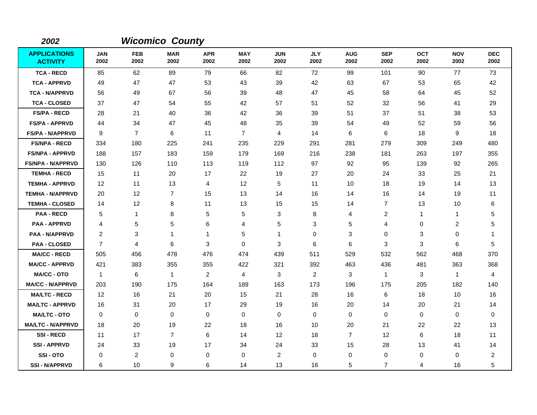| 2002                                   |                    |                    | <b>Wicomico County</b> |                    |                    |                    |                    |                    |                    |                    |                    |                    |
|----------------------------------------|--------------------|--------------------|------------------------|--------------------|--------------------|--------------------|--------------------|--------------------|--------------------|--------------------|--------------------|--------------------|
| <b>APPLICATIONS</b><br><b>ACTIVITY</b> | <b>JAN</b><br>2002 | <b>FEB</b><br>2002 | <b>MAR</b><br>2002     | <b>APR</b><br>2002 | <b>MAY</b><br>2002 | <b>JUN</b><br>2002 | <b>JLY</b><br>2002 | <b>AUG</b><br>2002 | <b>SEP</b><br>2002 | <b>OCT</b><br>2002 | <b>NOV</b><br>2002 | <b>DEC</b><br>2002 |
| <b>TCA - RECD</b>                      | 85                 | 62                 | 89                     | 79                 | 66                 | 82                 | 72                 | 99                 | 101                | 90                 | 77                 | 73                 |
| <b>TCA - APPRVD</b>                    | 49                 | 47                 | 47                     | 53                 | 43                 | 39                 | 42                 | 63                 | 67                 | 53                 | 65                 | 42                 |
| <b>TCA - N/APPRVD</b>                  | 56                 | 49                 | 67                     | 56                 | 39                 | 48                 | 47                 | 45                 | 58                 | 64                 | 45                 | 52                 |
| <b>TCA - CLOSED</b>                    | 37                 | 47                 | 54                     | 55                 | 42                 | 57                 | 51                 | 52                 | 32                 | 56                 | 41                 | 29                 |
| <b>FS/PA - RECD</b>                    | 28                 | 21                 | 40                     | 36                 | 42                 | 36                 | 39                 | 51                 | 37                 | 51                 | 38                 | 53                 |
| <b>FS/PA - APPRVD</b>                  | 44                 | 34                 | 47                     | 45                 | 48                 | 35                 | 39                 | 54                 | 49                 | 52                 | 59                 | 56                 |
| <b>FS/PA - N/APPRVD</b>                | 9                  | $\overline{7}$     | 6                      | 11                 | $\overline{7}$     | 4                  | 14                 | 6                  | 6                  | 18                 | 9                  | 18                 |
| <b>FS/NPA - RECD</b>                   | 334                | 180                | 225                    | 241                | 235                | 229                | 291                | 281                | 279                | 309                | 249                | 480                |
| <b>FS/NPA - APPRVD</b>                 | 188                | 157                | 183                    | 159                | 179                | 169                | 216                | 238                | 181                | 263                | 197                | 355                |
| <b>FS/NPA - N/APPRVD</b>               | 130                | 126                | 110                    | 113                | 119                | 112                | 97                 | 92                 | 95                 | 139                | 92                 | 265                |
| <b>TEMHA - RECD</b>                    | 15                 | 11                 | 20                     | 17                 | 22                 | 19                 | 27                 | 20                 | 24                 | 33                 | 25                 | 21                 |
| <b>TEMHA - APPRVD</b>                  | 12                 | 11                 | 13                     | 4                  | 12                 | 5                  | 11                 | 10                 | 18                 | 19                 | 14                 | 13                 |
| <b>TEMHA - N/APPRVD</b>                | 20                 | 12                 | $\overline{7}$         | 15                 | 13                 | 14                 | 16                 | 14                 | 16                 | 14                 | 19                 | 11                 |
| <b>TEMHA - CLOSED</b>                  | 14                 | 12                 | 8                      | 11                 | 13                 | 15                 | 15                 | 14                 | $\overline{7}$     | 13                 | 10                 | 6                  |
| <b>PAA - RECD</b>                      | 5                  | $\mathbf{1}$       | 8                      | 5                  | $\,$ 5 $\,$        | 3                  | 8                  | 4                  | $\overline{c}$     | 1                  | 1                  | 5                  |
| <b>PAA - APPRVD</b>                    | 4                  | 5                  | 5                      | 6                  | 4                  | 5                  | 3                  | 5                  | $\overline{4}$     | 0                  | $\overline{c}$     | 5                  |
| <b>PAA - N/APPRVD</b>                  | 2                  | 3                  | $\mathbf{1}$           | 1                  | 5                  | 1                  | 0                  | 3                  | 0                  | 3                  | 0                  | -1                 |
| <b>PAA - CLOSED</b>                    | $\overline{7}$     | 4                  | 6                      | 3                  | $\mathbf 0$        | 3                  | 6                  | 6                  | 3                  | 3                  | 6                  | 5                  |
| <b>MA/CC - RECD</b>                    | 505                | 456                | 478                    | 476                | 474                | 439                | 511                | 529                | 532                | 562                | 468                | 370                |
| <b>MA/CC - APPRVD</b>                  | 421                | 383                | 355                    | 355                | 422                | 321                | 392                | 463                | 436                | 481                | 363                | 368                |
| <b>MA/CC - OTO</b>                     | $\overline{1}$     | 6                  | $\mathbf{1}$           | $\overline{2}$     | $\overline{4}$     | 3                  | 2                  | 3                  | $\mathbf{1}$       | 3                  | $\mathbf{1}$       | 4                  |
| <b>MA/CC - N/APPRVD</b>                | 203                | 190                | 175                    | 164                | 189                | 163                | 173                | 196                | 175                | 205                | 182                | 140                |
| <b>MA/LTC - RECD</b>                   | 12                 | 16                 | 21                     | 20                 | 15                 | 21                 | 28                 | 16                 | 6                  | 18                 | 10                 | 16                 |
| <b>MA/LTC - APPRVD</b>                 | 16                 | 31                 | 20                     | 17                 | 29                 | 19                 | 16                 | 20                 | 14                 | 20                 | 21                 | 14                 |
| <b>MA/LTC - OTO</b>                    | 0                  | 0                  | 0                      | 0                  | 0                  | 0                  | 0                  | 0                  | 0                  | 0                  | 0                  | 0                  |
| <b>MA/LTC - N/APPRVD</b>               | 18                 | 20                 | 19                     | 22                 | 18                 | 16                 | 10                 | 20                 | 21                 | 22                 | 22                 | 13                 |
| <b>SSI-RECD</b>                        | 11                 | 17                 | $\overline{7}$         | 6                  | 14                 | 12                 | 18                 | $\overline{7}$     | 12                 | 6                  | 18                 | 11                 |
| <b>SSI - APPRVD</b>                    | 24                 | 33                 | 19                     | 17                 | 34                 | 24                 | 33                 | 15                 | 28                 | 13                 | 41                 | 14                 |
| SSI-OTO                                | 0                  | 2                  | 0                      | 0                  | 0                  | $\overline{c}$     | 0                  | 0                  | 0                  | 0                  | 0                  | $\overline{2}$     |
| <b>SSI - N/APPRVD</b>                  | 6                  | 10                 | 9                      | 6                  | 14                 | 13                 | 16                 | 5                  | $\overline{7}$     | 4                  | 16                 | 5                  |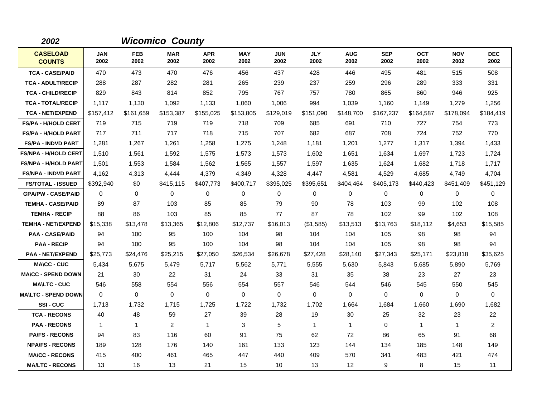| 2002                             |                    |                    | <b>Wicomico County</b> |                    |                    |                    |                    |                    |                    |                    |                    |                    |
|----------------------------------|--------------------|--------------------|------------------------|--------------------|--------------------|--------------------|--------------------|--------------------|--------------------|--------------------|--------------------|--------------------|
| <b>CASELOAD</b><br><b>COUNTS</b> | <b>JAN</b><br>2002 | <b>FEB</b><br>2002 | <b>MAR</b><br>2002     | <b>APR</b><br>2002 | <b>MAY</b><br>2002 | <b>JUN</b><br>2002 | <b>JLY</b><br>2002 | <b>AUG</b><br>2002 | <b>SEP</b><br>2002 | <b>OCT</b><br>2002 | <b>NOV</b><br>2002 | <b>DEC</b><br>2002 |
| <b>TCA - CASE/PAID</b>           | 470                | 473                | 470                    | 476                | 456                | 437                | 428                | 446                | 495                | 481                | 515                | 508                |
| <b>TCA - ADULT/RECIP</b>         | 288                | 287                | 282                    | 281                | 265                | 239                | 237                | 259                | 296                | 289                | 333                | 331                |
| <b>TCA - CHILD/RECIP</b>         | 829                | 843                | 814                    | 852                | 795                | 767                | 757                | 780                | 865                | 860                | 946                | 925                |
| <b>TCA - TOTAL/RECIP</b>         | 1,117              | 1,130              | 1,092                  | 1,133              | 1,060              | 1,006              | 994                | 1,039              | 1,160              | 1,149              | 1,279              | 1,256              |
| <b>TCA - NET/EXPEND</b>          | \$157,412          | \$161,659          | \$153,387              | \$155,025          | \$153,805          | \$129,019          | \$151,090          | \$148,700          | \$167,237          | \$164,587          | \$178.094          | \$184,419          |
| <b>FS/PA - H/HOLD CERT</b>       | 719                | 715                | 719                    | 719                | 718                | 709                | 685                | 691                | 710                | 727                | 754                | 773                |
| <b>FS/PA - H/HOLD PART</b>       | 717                | 711                | 717                    | 718                | 715                | 707                | 682                | 687                | 708                | 724                | 752                | 770                |
| <b>FS/PA - INDVD PART</b>        | 1,281              | 1,267              | 1,261                  | 1,258              | 1,275              | 1,248              | 1.181              | 1,201              | 1,277              | 1.317              | 1,394              | 1,433              |
| <b>FS/NPA - H/HOLD CERT</b>      | 1,510              | 1,561              | 1,592                  | 1,575              | 1,573              | 1,573              | 1,602              | 1,651              | 1,634              | 1,697              | 1,723              | 1,724              |
| <b>FS/NPA - H/HOLD PART</b>      | 1,501              | 1,553              | 1,584                  | 1,562              | 1,565              | 1,557              | 1,597              | 1,635              | 1,624              | 1,682              | 1,718              | 1,717              |
| <b>FS/NPA - INDVD PART</b>       | 4,162              | 4,313              | 4,444                  | 4,379              | 4,349              | 4,328              | 4,447              | 4,581              | 4,529              | 4.685              | 4,749              | 4,704              |
| <b>FS/TOTAL - ISSUED</b>         | \$392,940          | \$0                | \$415,115              | \$407,773          | \$400,717          | \$395,025          | \$395,651          | \$404,464          | \$405,173          | \$440,423          | \$451,409          | \$451,129          |
| <b>GPA/PW - CASE/PAID</b>        | 0                  | 0                  | $\mathbf 0$            | 0                  | $\mathbf 0$        | 0                  | 0                  | 0                  | 0                  | 0                  | $\mathbf 0$        | 0                  |
| <b>TEMHA - CASE/PAID</b>         | 89                 | 87                 | 103                    | 85                 | 85                 | 79                 | 90                 | 78                 | 103                | 99                 | 102                | 108                |
| <b>TEMHA - RECIP</b>             | 88                 | 86                 | 103                    | 85                 | 85                 | 77                 | 87                 | 78                 | 102                | 99                 | 102                | 108                |
| <b>TEMHA - NET/EXPEND</b>        | \$15,338           | \$13,478           | \$13,365               | \$12,806           | \$12,737           | \$16,013           | (\$1,585)          | \$13,513           | \$13,763           | \$18,112           | \$4,653            | \$15,585           |
| <b>PAA - CASE/PAID</b>           | 94                 | 100                | 95                     | 100                | 104                | 98                 | 104                | 104                | 105                | 98                 | 98                 | 94                 |
| <b>PAA - RECIP</b>               | 94                 | 100                | 95                     | 100                | 104                | 98                 | 104                | 104                | 105                | 98                 | 98                 | 94                 |
| <b>PAA - NET/EXPEND</b>          | \$25,773           | \$24,476           | \$25,215               | \$27,050           | \$26,534           | \$26,678           | \$27,428           | \$28,140           | \$27,343           | \$25,171           | \$23,818           | \$35,625           |
| <b>MA\CC - CUC</b>               | 5,434              | 5,675              | 5,479                  | 5,717              | 5,562              | 5,771              | 5,555              | 5,630              | 5,843              | 5,685              | 5,890              | 5,769              |
| <b>MA\CC - SPEND DOWN</b>        | 21                 | 30                 | 22                     | 31                 | 24                 | 33                 | 31                 | 35                 | 38                 | 23                 | 27                 | 23                 |
| <b>MA\LTC - CUC</b>              | 546                | 558                | 554                    | 556                | 554                | 557                | 546                | 544                | 546                | 545                | 550                | 545                |
| <b>MA\LTC - SPEND DOWN</b>       | $\mathbf 0$        | 0                  | $\mathbf 0$            | $\mathbf 0$        | $\mathbf 0$        | 0                  | $\mathbf 0$        | 0                  | 0                  | 0                  | 0                  | 0                  |
| SSI-CUC                          | 1.713              | 1,732              | 1,715                  | 1,725              | 1,722              | 1,732              | 1,702              | 1,664              | 1,684              | 1,660              | 1,690              | 1,682              |
| <b>TCA - RECONS</b>              | 40                 | 48                 | 59                     | 27                 | 39                 | 28                 | 19                 | 30                 | 25                 | 32                 | 23                 | 22                 |
| <b>PAA - RECONS</b>              | $\mathbf{1}$       | $\mathbf{1}$       | $\overline{2}$         | $\mathbf{1}$       | 3                  | 5                  | $\mathbf{1}$       | $\mathbf{1}$       | 0                  | $\mathbf{1}$       | $\mathbf{1}$       | $\overline{2}$     |
| <b>PA/FS - RECONS</b>            | 94                 | 83                 | 116                    | 60                 | 91                 | 75                 | 62                 | 72                 | 86                 | 65                 | 91                 | 68                 |
| <b>NPA/FS - RECONS</b>           | 189                | 128                | 176                    | 140                | 161                | 133                | 123                | 144                | 134                | 185                | 148                | 149                |
| <b>MA/CC - RECONS</b>            | 415                | 400                | 461                    | 465                | 447                | 440                | 409                | 570                | 341                | 483                | 421                | 474                |
| <b>MA/LTC - RECONS</b>           | 13                 | 16                 | 13                     | 21                 | 15                 | 10                 | 13                 | 12                 | 9                  | 8                  | 15                 | 11                 |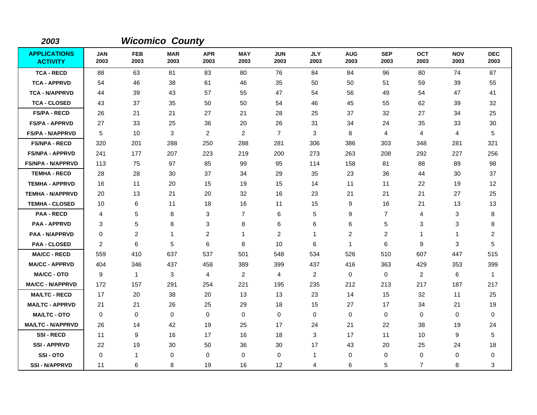| 2003                                   |                    |                    | <b>Wicomico County</b> |                    |                    |                    |                    |                    |                    |                    |                    |                    |
|----------------------------------------|--------------------|--------------------|------------------------|--------------------|--------------------|--------------------|--------------------|--------------------|--------------------|--------------------|--------------------|--------------------|
| <b>APPLICATIONS</b><br><b>ACTIVITY</b> | <b>JAN</b><br>2003 | <b>FEB</b><br>2003 | <b>MAR</b><br>2003     | <b>APR</b><br>2003 | <b>MAY</b><br>2003 | <b>JUN</b><br>2003 | <b>JLY</b><br>2003 | <b>AUG</b><br>2003 | <b>SEP</b><br>2003 | <b>OCT</b><br>2003 | <b>NOV</b><br>2003 | <b>DEC</b><br>2003 |
| <b>TCA - RECD</b>                      | 88                 | 63                 | 81                     | 83                 | 80                 | 76                 | 84                 | 84                 | 96                 | 80                 | 74                 | 87                 |
| <b>TCA - APPRVD</b>                    | 54                 | 46                 | 38                     | 61                 | 46                 | 35                 | 50                 | 50                 | 51                 | 59                 | 39                 | 55                 |
| <b>TCA - N/APPRVD</b>                  | 44                 | 39                 | 43                     | 57                 | 55                 | 47                 | 54                 | 56                 | 49                 | 54                 | 47                 | 41                 |
| <b>TCA - CLOSED</b>                    | 43                 | 37                 | 35                     | 50                 | 50                 | 54                 | 46                 | 45                 | 55                 | 62                 | 39                 | 32                 |
| <b>FS/PA - RECD</b>                    | 26                 | 21                 | 21                     | 27                 | 21                 | 28                 | 25                 | 37                 | 32                 | 27                 | 34                 | 25                 |
| <b>FS/PA - APPRVD</b>                  | 27                 | 33                 | 25                     | 36                 | 20                 | 26                 | 31                 | 34                 | 24                 | 35                 | 33                 | 30                 |
| <b>FS/PA - N/APPRVD</b>                | 5                  | 10                 | 3                      | $\overline{2}$     | $\overline{2}$     | $\overline{7}$     | 3                  | 8                  | 4                  | 4                  | 4                  | 5                  |
| <b>FS/NPA - RECD</b>                   | 320                | 201                | 288                    | 250                | 288                | 281                | 306                | 386                | 303                | 348                | 281                | 321                |
| <b>FS/NPA - APPRVD</b>                 | 241                | 177                | 207                    | 223                | 219                | 200                | 273                | 263                | 208                | 292                | 227                | 256                |
| <b>FS/NPA - N/APPRVD</b>               | 113                | 75                 | 97                     | 85                 | 99                 | 95                 | 114                | 158                | 81                 | 88                 | 89                 | 98                 |
| <b>TEMHA - RECD</b>                    | 28                 | 28                 | 30                     | 37                 | 34                 | 29                 | 35                 | 23                 | 36                 | 44                 | 30                 | 37                 |
| <b>TEMHA - APPRVD</b>                  | 16                 | 11                 | 20                     | 15                 | 19                 | 15                 | 14                 | 11                 | 11                 | 22                 | 19                 | 12                 |
| <b>TEMHA - N/APPRVD</b>                | 20                 | 13                 | 21                     | 20                 | 32                 | 16                 | 23                 | 21                 | 21                 | 21                 | 27                 | 25                 |
| <b>TEMHA - CLOSED</b>                  | 10                 | 6                  | 11                     | 18                 | 16                 | 11                 | 15                 | 9                  | 16                 | 21                 | 13                 | 13                 |
| <b>PAA - RECD</b>                      | 4                  | 5                  | 8                      | 3                  | $\overline{7}$     | 6                  | 5                  | 9                  | $\overline{7}$     | 4                  | 3                  | 8                  |
| <b>PAA - APPRVD</b>                    | 3                  | 5                  | 8                      | 3                  | 8                  | 6                  | 6                  | 6                  | 5                  | 3                  | 3                  | 8                  |
| <b>PAA - N/APPRVD</b>                  | 0                  | 2                  | $\mathbf{1}$           | $\overline{c}$     | 1                  | $\overline{2}$     | $\mathbf 1$        | 2                  | $\overline{2}$     | 1                  | 1                  | $\overline{2}$     |
| <b>PAA - CLOSED</b>                    | 2                  | 6                  | 5                      | 6                  | 8                  | 10                 | 6                  | $\mathbf{1}$       | 6                  | 9                  | 3                  | 5                  |
| <b>MA/CC - RECD</b>                    | 559                | 410                | 637                    | 537                | 501                | 548                | 534                | 526                | 510                | 607                | 447                | 515                |
| <b>MA/CC - APPRVD</b>                  | 404                | 346                | 437                    | 458                | 389                | 399                | 437                | 416                | 363                | 429                | 353                | 399                |
| <b>MA/CC - OTO</b>                     | 9                  | $\mathbf{1}$       | 3                      | 4                  | $\overline{2}$     | 4                  | $\overline{2}$     | 0                  | $\mathbf 0$        | $\overline{c}$     | 6                  | $\mathbf{1}$       |
| <b>MA/CC - N/APPRVD</b>                | 172                | 157                | 291                    | 254                | 221                | 195                | 235                | 212                | 213                | 217                | 187                | 217                |
| <b>MA/LTC - RECD</b>                   | 17                 | 20                 | 38                     | 20                 | 13                 | 13                 | 23                 | 14                 | 15                 | 32                 | 11                 | 25                 |
| <b>MA/LTC - APPRVD</b>                 | 21                 | 21                 | 26                     | 25                 | 29                 | 18                 | 15                 | 27                 | 17                 | 34                 | 21                 | 19                 |
| <b>MA/LTC - OTO</b>                    | 0                  | 0                  | 0                      | 0                  | 0                  | 0                  | 0                  | 0                  | 0                  | 0                  | 0                  | 0                  |
| <b>MA/LTC - N/APPRVD</b>               | 26                 | 14                 | 42                     | 19                 | 25                 | 17                 | 24                 | 21                 | 22                 | 38                 | 19                 | 24                 |
| <b>SSI-RECD</b>                        | 11                 | 9                  | 16                     | 17                 | 16                 | 18                 | 3                  | 17                 | 11                 | 10                 | 9                  | $\overline{5}$     |
| <b>SSI - APPRVD</b>                    | 22                 | 19                 | 30                     | 50                 | 36                 | 30                 | 17                 | 43                 | 20                 | 25                 | 24                 | 18                 |
| SSI-OTO                                | 0                  | 1                  | 0                      | 0                  | 0                  | 0                  | 1                  | 0                  | 0                  | 0                  | 0                  | 0                  |
| <b>SSI - N/APPRVD</b>                  | 11                 | 6                  | 8                      | 19                 | 16                 | 12                 | 4                  | 6                  | 5                  | $\overline{7}$     | 8                  | 3                  |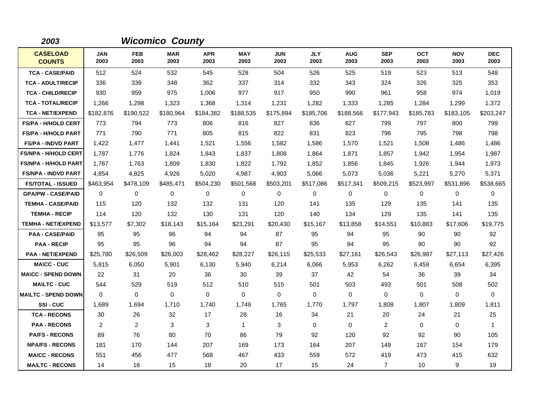| 2003                             |                    |                    | <b>Wicomico County</b> |                    |                    |                    |                    |                    |                    |                    |                    |                    |
|----------------------------------|--------------------|--------------------|------------------------|--------------------|--------------------|--------------------|--------------------|--------------------|--------------------|--------------------|--------------------|--------------------|
| <b>CASELOAD</b><br><b>COUNTS</b> | <b>JAN</b><br>2003 | <b>FEB</b><br>2003 | <b>MAR</b><br>2003     | <b>APR</b><br>2003 | <b>MAY</b><br>2003 | <b>JUN</b><br>2003 | <b>JLY</b><br>2003 | <b>AUG</b><br>2003 | <b>SEP</b><br>2003 | <b>OCT</b><br>2003 | <b>NOV</b><br>2003 | <b>DEC</b><br>2003 |
| <b>TCA - CASE/PAID</b>           | 512                | 524                | 532                    | 545                | 528                | 504                | 526                | 525                | 519                | 523                | 513                | 548                |
| <b>TCA - ADULT/RECIP</b>         | 336                | 339                | 348                    | 362                | 337                | 314                | 332                | 343                | 324                | 326                | 325                | 353                |
| <b>TCA - CHILD/RECIP</b>         | 930                | 959                | 975                    | 1,006              | 977                | 917                | 950                | 990                | 961                | 958                | 974                | 1,019              |
| <b>TCA - TOTAL/RECIP</b>         | 1,266              | 1,298              | 1,323                  | 1,368              | 1,314              | 1,231              | 1,282              | 1,333              | 1,285              | 1,284              | 1,299              | 1,372              |
| <b>TCA - NET/EXPEND</b>          | \$182,876          | \$190,522          | \$180,964              | \$184,382          | \$188,535          | \$175,894          | \$185,706          | \$188,566          | \$177,943          | \$185,783          | \$183,105          | \$203,247          |
| <b>FS/PA - H/HOLD CERT</b>       | 773                | 794                | 773                    | 806                | 816                | 827                | 836                | 827                | 799                | 797                | 800                | 799                |
| <b>FS/PA - H/HOLD PART</b>       | 771                | 790                | 771                    | 805                | 815                | 822                | 831                | 823                | 796                | 795                | 798                | 798                |
| <b>FS/PA - INDVD PART</b>        | 1,422              | 1,477              | 1,441                  | 1,521              | 1,556              | 1,582              | 1,586              | 1,570              | 1,521              | 1,508              | 1,486              | 1,486              |
| <b>FS/NPA - H/HOLD CERT</b>      | 1,787              | 1,776              | 1,824                  | 1,843              | 1,837              | 1,808              | 1,864              | 1,871              | 1,857              | 1,942              | 1,954              | 1,987              |
| <b>FS/NPA - H/HOLD PART</b>      | 1,767              | 1.763              | 1,809                  | 1,830              | 1,822              | 1,792              | 1,852              | 1,856              | 1,845              | 1,926              | 1,944              | 1,973              |
| <b>FS/NPA - INDVD PART</b>       | 4,854              | 4,825              | 4,926                  | 5,020              | 4,987              | 4,903              | 5,066              | 5,073              | 5,036              | 5,221              | 5,270              | 5,371              |
| <b>FS/TOTAL - ISSUED</b>         | \$463,954          | \$478,109          | \$485,471              | \$504,230          | \$501,568          | \$503,201          | \$517,086          | \$517,341          | \$509,215          | \$523,997          | \$531,896          | \$538,665          |
| <b>GPA/PW - CASE/PAID</b>        | $\Omega$           | $\Omega$           | $\mathbf 0$            | $\mathbf 0$        | $\mathbf 0$        | $\Omega$           | $\mathbf 0$        | 0                  | $\mathbf 0$        | 0                  | $\mathbf 0$        | 0                  |
| <b>TEMHA - CASE/PAID</b>         | 115                | 120                | 132                    | 132                | 131                | 120                | 141                | 135                | 129                | 135                | 141                | 135                |
| <b>TEMHA - RECIP</b>             | 114                | 120                | 132                    | 130                | 131                | 120                | 140                | 134                | 129                | 135                | 141                | 135                |
| <b>TEMHA - NET/EXPEND</b>        | \$13,577           | \$7,302            | \$18,143               | \$15,164           | \$23,291           | \$20,430           | \$15,167           | \$13,858           | \$14,551           | \$10,883           | \$17,606           | \$19,775           |
| <b>PAA - CASE/PAID</b>           | 95                 | 95                 | 96                     | 94                 | 94                 | 87                 | 95                 | 94                 | 95                 | 90                 | 90                 | 92                 |
| <b>PAA - RECIP</b>               | 95                 | 95                 | 96                     | 94                 | 94                 | 87                 | 95                 | 94                 | 95                 | 90                 | 90                 | 92                 |
| <b>PAA - NET/EXPEND</b>          | \$25,780           | \$26,509           | \$26,003               | \$28,462           | \$28,227           | \$26,115           | \$25,533           | \$27,161           | \$26,543           | \$26,987           | \$27,113           | \$27,426           |
| <b>MA\CC - CUC</b>               | 5,815              | 6,050              | 5,901                  | 6,130              | 5,940              | 6,214              | 6,066              | 5,953              | 6,262              | 6,459              | 6,654              | 6,395              |
| <b>MA\CC - SPEND DOWN</b>        | 22                 | 31                 | 20                     | 36                 | 30                 | 39                 | 37                 | 42                 | 54                 | 36                 | 39                 | 34                 |
| <b>MA\LTC - CUC</b>              | 544                | 529                | 519                    | 512                | 510                | 515                | 501                | 503                | 493                | 501                | 508                | 502                |
| <b>MA\LTC - SPEND DOWN</b>       | $\Omega$           | 0                  | $\mathbf 0$            | $\mathbf 0$        | $\mathbf 0$        | $\mathbf 0$        | $\mathbf 0$        | 0                  | 0                  | 0                  | 0                  | 0                  |
| <b>SSI-CUC</b>                   | 1,689              | 1,694              | 1,710                  | 1,740              | 1,749              | 1,765              | 1,770              | 1,797              | 1,808              | 1,807              | 1,809              | 1,811              |
| <b>TCA - RECONS</b>              | 30                 | 26                 | 32                     | 17                 | 28                 | 16                 | 34                 | 21                 | 20                 | 24                 | 21                 | 25                 |
| <b>PAA - RECONS</b>              | 2                  | 2                  | 3                      | 3                  | $\mathbf{1}$       | 3                  | $\mathbf 0$        | 0                  | 2                  | 0                  | 0                  | $\mathbf{1}$       |
| <b>PA/FS - RECONS</b>            | 89                 | 76                 | 80                     | 70                 | 86                 | 79                 | 92                 | 120                | 92                 | 92                 | 90                 | 105                |
| <b>NPA/FS - RECONS</b>           | 181                | 170                | 144                    | 207                | 169                | 173                | 164                | 207                | 149                | 167                | 154                | 179                |
| <b>MA/CC - RECONS</b>            | 551                | 456                | 477                    | 568                | 467                | 433                | 559                | 572                | 419                | 473                | 415                | 632                |
| <b>MA/LTC - RECONS</b>           | 14                 | 16                 | 15                     | 18                 | 20                 | 17                 | 15                 | 24                 | $\overline{7}$     | 10                 | 9                  | 19                 |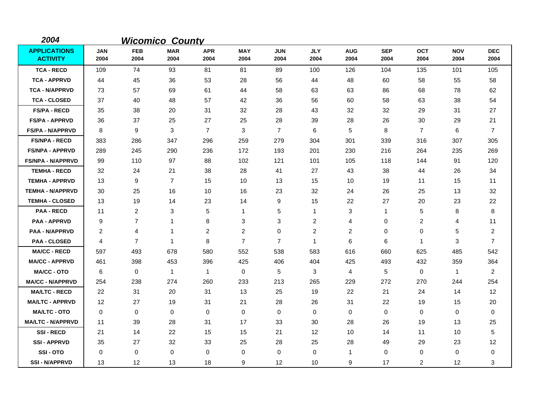| 2004                                   |                    |                    | <b>Wicomico County</b> |                    |                    |                    |                    |                    |                    |                    |                    |                    |
|----------------------------------------|--------------------|--------------------|------------------------|--------------------|--------------------|--------------------|--------------------|--------------------|--------------------|--------------------|--------------------|--------------------|
| <b>APPLICATIONS</b><br><b>ACTIVITY</b> | <b>JAN</b><br>2004 | <b>FEB</b><br>2004 | <b>MAR</b><br>2004     | <b>APR</b><br>2004 | <b>MAY</b><br>2004 | <b>JUN</b><br>2004 | <b>JLY</b><br>2004 | <b>AUG</b><br>2004 | <b>SEP</b><br>2004 | <b>OCT</b><br>2004 | <b>NOV</b><br>2004 | <b>DEC</b><br>2004 |
| <b>TCA - RECD</b>                      | 109                | 74                 | 93                     | 81                 | 81                 | 89                 | 100                | 126                | 104                | 135                | 101                | 105                |
| <b>TCA - APPRVD</b>                    | 44                 | 45                 | 36                     | 53                 | 28                 | 56                 | 44                 | 48                 | 60                 | 58                 | 55                 | 58                 |
| <b>TCA - N/APPRVD</b>                  | 73                 | 57                 | 69                     | 61                 | 44                 | 58                 | 63                 | 63                 | 86                 | 68                 | 78                 | 62                 |
| <b>TCA - CLOSED</b>                    | 37                 | 40                 | 48                     | 57                 | 42                 | 36                 | 56                 | 60                 | 58                 | 63                 | 38                 | 54                 |
| <b>FS/PA - RECD</b>                    | 35                 | 38                 | 20                     | 31                 | 32                 | 28                 | 43                 | 32                 | 32                 | 29                 | 31                 | 27                 |
| <b>FS/PA - APPRVD</b>                  | 36                 | 37                 | 25                     | 27                 | 25                 | 28                 | 39                 | 28                 | 26                 | 30                 | 29                 | 21                 |
| <b>FS/PA - N/APPRVD</b>                | 8                  | 9                  | 3                      | $\overline{7}$     | 3                  | $\overline{7}$     | 6                  | 5                  | 8                  | $\overline{7}$     | 6                  | $\overline{7}$     |
| <b>FS/NPA - RECD</b>                   | 383                | 286                | 347                    | 296                | 259                | 279                | 304                | 301                | 339                | 316                | 307                | 305                |
| <b>FS/NPA - APPRVD</b>                 | 289                | 245                | 290                    | 236                | 172                | 193                | 201                | 230                | 216                | 264                | 235                | 269                |
| <b>FS/NPA - N/APPRVD</b>               | 99                 | 110                | 97                     | 88                 | 102                | 121                | 101                | 105                | 118                | 144                | 91                 | 120                |
| <b>TEMHA - RECD</b>                    | 32                 | 24                 | 21                     | 38                 | 28                 | 41                 | 27                 | 43                 | 38                 | 44                 | 26                 | 34                 |
| <b>TEMHA - APPRVD</b>                  | 13                 | 9                  | $\overline{7}$         | 15                 | 10                 | 13                 | 15                 | 10                 | 19                 | 11                 | 15                 | 11                 |
| <b>TEMHA - N/APPRVD</b>                | 30                 | 25                 | 16                     | 10                 | 16                 | 23                 | 32                 | 24                 | 26                 | 25                 | 13                 | 32                 |
| <b>TEMHA - CLOSED</b>                  | 13                 | 19                 | 14                     | 23                 | 14                 | 9                  | 15                 | 22                 | 27                 | 20                 | 23                 | 22                 |
| <b>PAA - RECD</b>                      | 11                 | 2                  | 3                      | 5                  | $\mathbf{1}$       | 5                  | $\mathbf{1}$       | 3                  | $\mathbf 1$        | 5                  | 8                  | 8                  |
| <b>PAA - APPRVD</b>                    | 9                  | $\overline{7}$     | 1                      | 8                  | 3                  | 3                  | $\overline{c}$     | 4                  | $\mathbf 0$        | $\overline{c}$     | 4                  | 11                 |
| <b>PAA - N/APPRVD</b>                  | $\overline{2}$     | 4                  | $\mathbf{1}$           | 2                  | $\overline{2}$     | 0                  | 2                  | 2                  | 0                  | 0                  | 5                  | $\overline{2}$     |
| <b>PAA - CLOSED</b>                    | $\overline{4}$     | $\overline{7}$     | $\mathbf{1}$           | 8                  | $\overline{7}$     | $\overline{7}$     | $\mathbf{1}$       | 6                  | 6                  | $\mathbf{1}$       | 3                  | $\overline{7}$     |
| <b>MA/CC - RECD</b>                    | 597                | 493                | 678                    | 580                | 552                | 538                | 583                | 616                | 660                | 625                | 485                | 542                |
| <b>MA/CC - APPRVD</b>                  | 461                | 398                | 453                    | 396                | 425                | 406                | 404                | 425                | 493                | 432                | 359                | 364                |
| <b>MA/CC - OTO</b>                     | 6                  | 0                  | $\mathbf{1}$           | 1                  | 0                  | 5                  | 3                  | 4                  | 5                  | $\mathbf 0$        | $\mathbf{1}$       | $\overline{2}$     |
| <b>MA/CC - N/APPRVD</b>                | 254                | 238                | 274                    | 260                | 233                | 213                | 265                | 229                | 272                | 270                | 244                | 254                |
| <b>MA/LTC - RECD</b>                   | 22                 | 31                 | 20                     | 31                 | 13                 | 25                 | 19                 | 22                 | 21                 | 24                 | 14                 | 12                 |
| <b>MA/LTC - APPRVD</b>                 | 12                 | 27                 | 19                     | 31                 | 21                 | 28                 | 26                 | 31                 | 22                 | 19                 | 15                 | 20                 |
| <b>MA/LTC - OTO</b>                    | 0                  | 0                  | 0                      | 0                  | 0                  | 0                  | 0                  | 0                  | $\mathbf 0$        | 0                  | 0                  | 0                  |
| <b>MA/LTC - N/APPRVD</b>               | 11                 | 39                 | 28                     | 31                 | 17                 | 33                 | 30                 | 28                 | 26                 | 19                 | 13                 | 25                 |
| <b>SSI-RECD</b>                        | 21                 | 14                 | 22                     | 15                 | 15                 | 21                 | $12 \,$            | 10                 | 14                 | 11                 | 10                 | 5                  |
| <b>SSI-APPRVD</b>                      | 35                 | 27                 | 32                     | 33                 | 25                 | 28                 | 25                 | 28                 | 49                 | 29                 | 23                 | 12                 |
| SSI-OTO                                | 0                  | 0                  | $\mathbf 0$            | 0                  | 0                  | 0                  | 0                  | $\mathbf{1}$       | $\Omega$           | 0                  | 0                  | 0                  |
| <b>SSI-N/APPRVD</b>                    | 13                 | 12                 | 13                     | 18                 | 9                  | 12                 | 10                 | 9                  | 17                 | 2                  | 12                 | 3                  |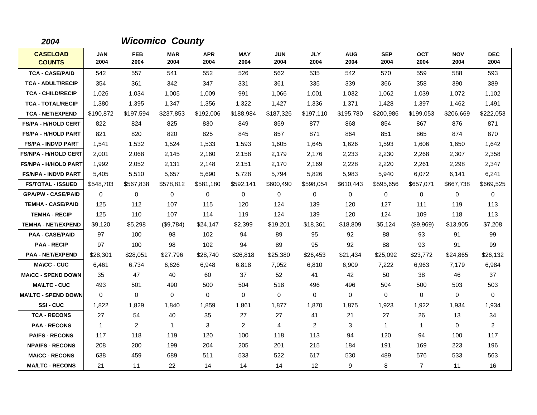| 2004                             |                    |                    | <b>Wicomico County</b> |                    |                    |                    |                    |                    |                    |                    |                    |                    |
|----------------------------------|--------------------|--------------------|------------------------|--------------------|--------------------|--------------------|--------------------|--------------------|--------------------|--------------------|--------------------|--------------------|
| <b>CASELOAD</b><br><b>COUNTS</b> | <b>JAN</b><br>2004 | <b>FEB</b><br>2004 | <b>MAR</b><br>2004     | <b>APR</b><br>2004 | <b>MAY</b><br>2004 | <b>JUN</b><br>2004 | <b>JLY</b><br>2004 | <b>AUG</b><br>2004 | <b>SEP</b><br>2004 | <b>OCT</b><br>2004 | <b>NOV</b><br>2004 | <b>DEC</b><br>2004 |
| <b>TCA - CASE/PAID</b>           | 542                | 557                | 541                    | 552                | 526                | 562                | 535                | 542                | 570                | 559                | 588                | 593                |
| <b>TCA - ADULT/RECIP</b>         | 354                | 361                | 342                    | 347                | 331                | 361                | 335                | 339                | 366                | 358                | 390                | 389                |
| <b>TCA - CHILD/RECIP</b>         | 1,026              | 1,034              | 1,005                  | 1,009              | 991                | 1,066              | 1,001              | 1,032              | 1,062              | 1,039              | 1,072              | 1,102              |
| <b>TCA - TOTAL/RECIP</b>         | 1,380              | 1,395              | 1,347                  | 1,356              | 1,322              | 1,427              | 1,336              | 1,371              | 1,428              | 1,397              | 1,462              | 1,491              |
| <b>TCA - NET/EXPEND</b>          | \$190,872          | \$197,594          | \$237,853              | \$192,006          | \$188.984          | \$187,326          | \$197,110          | \$195,780          | \$200,986          | \$199.053          | \$206,669          | \$222,053          |
| <b>FS/PA - H/HOLD CERT</b>       | 822                | 824                | 825                    | 830                | 849                | 859                | 877                | 868                | 854                | 867                | 876                | 871                |
| <b>FS/PA - H/HOLD PART</b>       | 821                | 820                | 820                    | 825                | 845                | 857                | 871                | 864                | 851                | 865                | 874                | 870                |
| <b>FS/PA - INDVD PART</b>        | 1,541              | 1,532              | 1,524                  | 1,533              | 1,593              | 1,605              | 1,645              | 1,626              | 1,593              | 1,606              | 1,650              | 1,642              |
| <b>FS/NPA - H/HOLD CERT</b>      | 2,001              | 2,068              | 2,145                  | 2,160              | 2,158              | 2,179              | 2,176              | 2,233              | 2,230              | 2,268              | 2,307              | 2,358              |
| <b>FS/NPA - H/HOLD PART</b>      | 1,992              | 2,052              | 2,131                  | 2,148              | 2,151              | 2,170              | 2,169              | 2,228              | 2,220              | 2,261              | 2,298              | 2,347              |
| <b>FS/NPA - INDVD PART</b>       | 5,405              | 5,510              | 5,657                  | 5,690              | 5,728              | 5,794              | 5,826              | 5,983              | 5,940              | 6,072              | 6,141              | 6,241              |
| <b>FS/TOTAL - ISSUED</b>         | \$548,703          | \$567,838          | \$578,812              | \$581,180          | \$592,141          | \$600,490          | \$598,054          | \$610,443          | \$595,656          | \$657,071          | \$667,738          | \$669,525          |
| <b>GPA/PW - CASE/PAID</b>        | $\Omega$           | 0                  | 0                      | 0                  | 0                  | $\Omega$           | 0                  | 0                  | $\Omega$           | 0                  | $\mathbf 0$        | 0                  |
| <b>TEMHA - CASE/PAID</b>         | 125                | 112                | 107                    | 115                | 120                | 124                | 139                | 120                | 127                | 111                | 119                | 113                |
| <b>TEMHA - RECIP</b>             | 125                | 110                | 107                    | 114                | 119                | 124                | 139                | 120                | 124                | 109                | 118                | 113                |
| <b>TEMHA - NET/EXPEND</b>        | \$9,120            | \$5,298            | (\$9,784)              | \$24,147           | \$2,399            | \$19,201           | \$18,361           | \$18,809           | \$5,124            | (\$9,969)          | \$13,905           | \$7,208            |
| <b>PAA - CASE/PAID</b>           | 97                 | 100                | 98                     | 102                | 94                 | 89                 | 95                 | 92                 | 88                 | 93                 | 91                 | 99                 |
| <b>PAA - RECIP</b>               | 97                 | 100                | 98                     | 102                | 94                 | 89                 | 95                 | 92                 | 88                 | 93                 | 91                 | 99                 |
| <b>PAA - NET/EXPEND</b>          | \$28,301           | \$28,051           | \$27,796               | \$28,740           | \$26,818           | \$25,380           | \$26,453           | \$21,434           | \$25,092           | \$23,772           | \$24,865           | \$26,132           |
| <b>MA\CC - CUC</b>               | 6,461              | 6,734              | 6,626                  | 6,948              | 6,818              | 7,052              | 6,810              | 6,909              | 7,222              | 6,963              | 7,179              | 6,984              |
| <b>MA\CC - SPEND DOWN</b>        | 35                 | 47                 | 40                     | 60                 | 37                 | 52                 | 41                 | 42                 | 50                 | 38                 | 46                 | 37                 |
| <b>MA\LTC - CUC</b>              | 493                | 501                | 490                    | 500                | 504                | 518                | 496                | 496                | 504                | 500                | 503                | 503                |
| <b>MAILTC - SPEND DOWN</b>       | $\Omega$           | $\Omega$           | 0                      | $\Omega$           | $\Omega$           | $\Omega$           | $\Omega$           | 0                  | $\Omega$           | $\Omega$           | 0                  | $\mathbf 0$        |
| SSI-CUC                          | 1,822              | 1,829              | 1,840                  | 1,859              | 1,861              | 1,877              | 1,870              | 1,875              | 1,923              | 1,922              | 1,934              | 1,934              |
| <b>TCA - RECONS</b>              | 27                 | 54                 | 40                     | 35                 | 27                 | 27                 | 41                 | 21                 | 27                 | 26                 | 13                 | 34                 |
| <b>PAA - RECONS</b>              | $\overline{1}$     | 2                  | $\overline{1}$         | 3                  | 2                  | 4                  | 2                  | 3                  | $\mathbf{1}$       | $\mathbf{1}$       | $\mathbf 0$        | $\overline{2}$     |
| <b>PA/FS - RECONS</b>            | 117                | 118                | 119                    | 120                | 100                | 118                | 113                | 94                 | 120                | 94                 | 100                | 117                |
| <b>NPA/FS - RECONS</b>           | 208                | 200                | 199                    | 204                | 205                | 201                | 215                | 184                | 191                | 169                | 223                | 196                |
| <b>MA/CC - RECONS</b>            | 638                | 459                | 689                    | 511                | 533                | 522                | 617                | 530                | 489                | 576                | 533                | 563                |
| <b>MA/LTC - RECONS</b>           | 21                 | 11                 | 22                     | 14                 | 14                 | 14                 | $12 \overline{ }$  | 9                  | 8                  | $\overline{7}$     | 11                 | 16                 |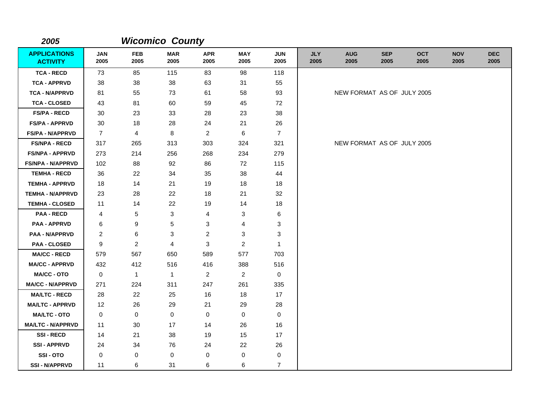| 2005                                   |                    |                    | <b>Wicomico County</b> |                    |                    |                    |                    |                            |                    |                    |                    |                    |
|----------------------------------------|--------------------|--------------------|------------------------|--------------------|--------------------|--------------------|--------------------|----------------------------|--------------------|--------------------|--------------------|--------------------|
| <b>APPLICATIONS</b><br><b>ACTIVITY</b> | <b>JAN</b><br>2005 | <b>FEB</b><br>2005 | <b>MAR</b><br>2005     | <b>APR</b><br>2005 | <b>MAY</b><br>2005 | <b>JUN</b><br>2005 | <b>JLY</b><br>2005 | <b>AUG</b><br>2005         | <b>SEP</b><br>2005 | <b>OCT</b><br>2005 | <b>NOV</b><br>2005 | <b>DEC</b><br>2005 |
| <b>TCA - RECD</b>                      | 73                 | 85                 | 115                    | 83                 | 98                 | 118                |                    |                            |                    |                    |                    |                    |
| <b>TCA - APPRVD</b>                    | 38                 | 38                 | 38                     | 63                 | 31                 | 55                 |                    |                            |                    |                    |                    |                    |
| <b>TCA - N/APPRVD</b>                  | 81                 | 55                 | 73                     | 61                 | 58                 | 93                 |                    | NEW FORMAT AS OF JULY 2005 |                    |                    |                    |                    |
| <b>TCA - CLOSED</b>                    | 43                 | 81                 | 60                     | 59                 | 45                 | 72                 |                    |                            |                    |                    |                    |                    |
| <b>FS/PA - RECD</b>                    | 30                 | 23                 | 33                     | 28                 | 23                 | 38                 |                    |                            |                    |                    |                    |                    |
| <b>FS/PA - APPRVD</b>                  | 30                 | 18                 | 28                     | 24                 | 21                 | 26                 |                    |                            |                    |                    |                    |                    |
| <b>FS/PA - N/APPRVD</b>                | $\overline{7}$     | $\overline{4}$     | 8                      | $\overline{c}$     | 6                  | $\overline{7}$     |                    |                            |                    |                    |                    |                    |
| <b>FS/NPA - RECD</b>                   | 317                | 265                | 313                    | 303                | 324                | 321                |                    | NEW FORMAT AS OF JULY 2005 |                    |                    |                    |                    |
| <b>FS/NPA - APPRVD</b>                 | 273                | 214                | 256                    | 268                | 234                | 279                |                    |                            |                    |                    |                    |                    |
| <b>FS/NPA - N/APPRVD</b>               | 102                | 88                 | 92                     | 86                 | 72                 | 115                |                    |                            |                    |                    |                    |                    |
| <b>TEMHA - RECD</b>                    | 36                 | 22                 | 34                     | 35                 | 38                 | 44                 |                    |                            |                    |                    |                    |                    |
| <b>TEMHA - APPRVD</b>                  | 18                 | 14                 | 21                     | 19                 | 18                 | 18                 |                    |                            |                    |                    |                    |                    |
| <b>TEMHA - N/APPRVD</b>                | 23                 | 28                 | 22                     | 18                 | 21                 | 32                 |                    |                            |                    |                    |                    |                    |
| <b>TEMHA - CLOSED</b>                  | 11                 | 14                 | 22                     | 19                 | 14                 | 18                 |                    |                            |                    |                    |                    |                    |
| <b>PAA - RECD</b>                      | 4                  | 5                  | 3                      | 4                  | 3                  | 6                  |                    |                            |                    |                    |                    |                    |
| <b>PAA - APPRVD</b>                    | 6                  | 9                  | 5                      | 3                  | 4                  | 3                  |                    |                            |                    |                    |                    |                    |
| <b>PAA - N/APPRVD</b>                  | 2                  | 6                  | 3                      | $\overline{c}$     | 3                  | 3                  |                    |                            |                    |                    |                    |                    |
| <b>PAA - CLOSED</b>                    | 9                  | $\overline{2}$     | $\overline{4}$         | 3                  | $\overline{2}$     | $\mathbf{1}$       |                    |                            |                    |                    |                    |                    |
| <b>MA/CC - RECD</b>                    | 579                | 567                | 650                    | 589                | 577                | 703                |                    |                            |                    |                    |                    |                    |
| <b>MA/CC - APPRVD</b>                  | 432                | 412                | 516                    | 416                | 388                | 516                |                    |                            |                    |                    |                    |                    |
| <b>MA/CC - OTO</b>                     | 0                  | $\mathbf{1}$       | $\mathbf{1}$           | $\overline{2}$     | $\overline{2}$     | $\mathbf 0$        |                    |                            |                    |                    |                    |                    |
| <b>MA/CC - N/APPRVD</b>                | 271                | 224                | 311                    | 247                | 261                | 335                |                    |                            |                    |                    |                    |                    |
| <b>MA/LTC - RECD</b>                   | 28                 | 22                 | 25                     | 16                 | 18                 | 17                 |                    |                            |                    |                    |                    |                    |
| <b>MA/LTC - APPRVD</b>                 | 12                 | 26                 | 29                     | 21                 | 29                 | 28                 |                    |                            |                    |                    |                    |                    |
| <b>MA/LTC - OTO</b>                    | 0                  | $\mathbf 0$        | $\mathbf 0$            | $\mathbf 0$        | 0                  | $\mathbf 0$        |                    |                            |                    |                    |                    |                    |
| <b>MA/LTC - N/APPRVD</b>               | 11                 | 30                 | 17                     | 14                 | 26                 | 16                 |                    |                            |                    |                    |                    |                    |
| <b>SSI-RECD</b>                        | 14                 | 21                 | 38                     | 19                 | 15                 | 17                 |                    |                            |                    |                    |                    |                    |
| <b>SSI - APPRVD</b>                    | 24                 | 34                 | 76                     | 24                 | 22                 | 26                 |                    |                            |                    |                    |                    |                    |
| SSI-OTO                                | 0                  | 0                  | 0                      | 0                  | $\pmb{0}$          | 0                  |                    |                            |                    |                    |                    |                    |
| <b>SSI - N/APPRVD</b>                  | 11                 | 6                  | 31                     | 6                  | 6                  | $\overline{7}$     |                    |                            |                    |                    |                    |                    |